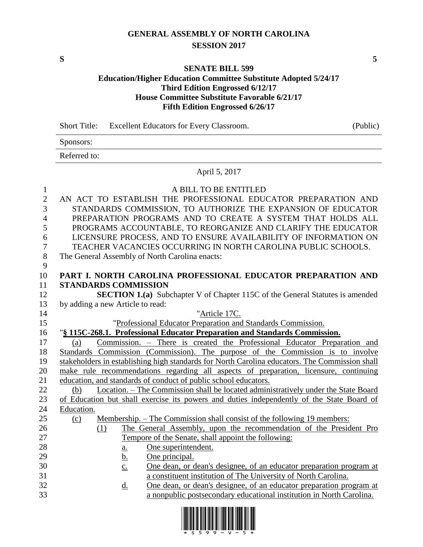## **GENERAL ASSEMBLY OF NORTH CAROLINA SESSION 2017**

**S 5**

#### **SENATE BILL 599**

### **Education/Higher Education Committee Substitute Adopted 5/24/17 Third Edition Engrossed 6/12/17 House Committee Substitute Favorable 6/21/17 Fifth Edition Engrossed 6/26/17**

|                | (Public)<br><b>Short Title:</b><br>Excellent Educators for Every Classroom.                    |
|----------------|------------------------------------------------------------------------------------------------|
|                | Sponsors:                                                                                      |
|                | Referred to:                                                                                   |
|                | April 5, 2017                                                                                  |
| $\mathbf{1}$   | A BILL TO BE ENTITLED                                                                          |
| $\overline{2}$ | AN ACT TO ESTABLISH THE PROFESSIONAL EDUCATOR PREPARATION AND                                  |
| 3              | STANDARDS COMMISSION, TO AUTHORIZE THE EXPANSION OF EDUCATOR                                   |
| $\overline{4}$ | PREPARATION PROGRAMS AND TO CREATE A SYSTEM THAT HOLDS ALL                                     |
| 5              | PROGRAMS ACCOUNTABLE, TO REORGANIZE AND CLARIFY THE EDUCATOR                                   |
| 6              | LICENSURE PROCESS, AND TO ENSURE AVAILABILITY OF INFORMATION ON                                |
| $\tau$         | TEACHER VACANCIES OCCURRING IN NORTH CAROLINA PUBLIC SCHOOLS.                                  |
| 8              | The General Assembly of North Carolina enacts:                                                 |
| 9              |                                                                                                |
| 10             | PART I. NORTH CAROLINA PROFESSIONAL EDUCATOR PREPARATION AND                                   |
| 11             | <b>STANDARDS COMMISSION</b>                                                                    |
| 12             | <b>SECTION 1.(a)</b> Subchapter V of Chapter 115C of the General Statutes is amended           |
| 13             | by adding a new Article to read:                                                               |
| 14             | "Article 17C.                                                                                  |
| 15             | "Professional Educator Preparation and Standards Commission.                                   |
| 16             | "§ 115C-268.1. Professional Educator Preparation and Standards Commission.                     |
| 17             | Commission. – There is created the Professional Educator Preparation and<br>(a)                |
| 18             | Standards Commission (Commission). The purpose of the Commission is to involve                 |
| 19             | stakeholders in establishing high standards for North Carolina educators. The Commission shall |
| 20             | make rule recommendations regarding all aspects of preparation, licensure, continuing          |
| 21             | education, and standards of conduct of public school educators.                                |
| 22             | Location. – The Commission shall be located administratively under the State Board<br>(b)      |
| 23             | of Education but shall exercise its powers and duties independently of the State Board of      |
| 24             | Education.                                                                                     |
| 25             | Membership. – The Commission shall consist of the following 19 members:<br>(c)                 |
| 26             | The General Assembly, upon the recommendation of the President Pro<br>(1)                      |
| 27             | Tempore of the Senate, shall appoint the following:                                            |
| 28             | One superintendent.<br>$a_{\cdot}$                                                             |
| 29             | b.<br>One principal.                                                                           |

- 30 c. One dean, or dean's designee, of an educator preparation program at 31 a constituent institution of The University of North Carolina.
- 32 d. One dean, or dean's designee, of an educator preparation program at 33 a nonpublic postsecondary educational institution in North Carolina.

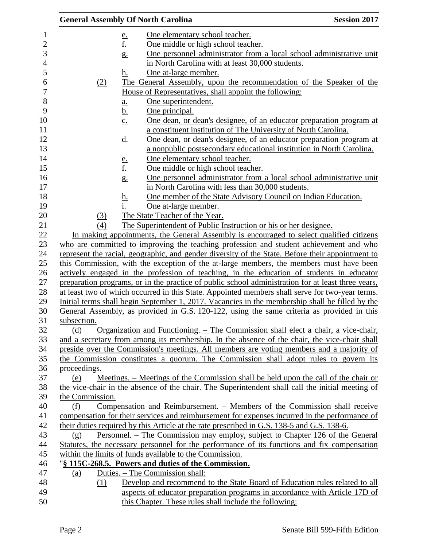|                 |                                | <b>General Assembly Of North Carolina</b>                                                          | <b>Session 2017</b> |
|-----------------|--------------------------------|----------------------------------------------------------------------------------------------------|---------------------|
|                 |                                | One elementary school teacher.                                                                     |                     |
|                 | $\frac{e}{f}$                  | One middle or high school teacher.                                                                 |                     |
|                 | g.                             | One personnel administrator from a local school administrative unit                                |                     |
|                 |                                | in North Carolina with at least 30,000 students.                                                   |                     |
|                 | <u>h.</u>                      | One at-large member.                                                                               |                     |
| (2)             |                                | The General Assembly, upon the recommendation of the Speaker of the                                |                     |
|                 |                                | House of Representatives, shall appoint the following:                                             |                     |
|                 | a.                             | One superintendent.                                                                                |                     |
|                 | <u>b.</u>                      | One principal.                                                                                     |                     |
|                 | $\underline{c}$ .              | One dean, or dean's designee, of an educator preparation program at                                |                     |
|                 |                                | a constituent institution of The University of North Carolina.                                     |                     |
|                 | $\underline{d}$ .              | One dean, or dean's designee, of an educator preparation program at                                |                     |
|                 |                                | a nonpublic postsecondary educational institution in North Carolina.                               |                     |
|                 |                                | One elementary school teacher.                                                                     |                     |
|                 |                                | One middle or high school teacher.                                                                 |                     |
|                 | $\frac{e}{f}$<br>$\frac{f}{g}$ | One personnel administrator from a local school administrative unit                                |                     |
|                 |                                | in North Carolina with less than 30,000 students.                                                  |                     |
|                 |                                | One member of the State Advisory Council on Indian Education.                                      |                     |
|                 | $\frac{h}{\cdot}$              | One at-large member.                                                                               |                     |
| (3)             |                                | The State Teacher of the Year.                                                                     |                     |
| (4)             |                                | The Superintendent of Public Instruction or his or her designee.                                   |                     |
|                 |                                | In making appointments, the General Assembly is encouraged to select qualified citizens            |                     |
|                 |                                | who are committed to improving the teaching profession and student achievement and who             |                     |
|                 |                                | represent the racial, geographic, and gender diversity of the State. Before their appointment to   |                     |
|                 |                                | this Commission, with the exception of the at-large members, the members must have been            |                     |
|                 |                                | actively engaged in the profession of teaching, in the education of students in educator           |                     |
|                 |                                | preparation programs, or in the practice of public school administration for at least three years, |                     |
|                 |                                | at least two of which occurred in this State. Appointed members shall serve for two-year terms.    |                     |
|                 |                                | Initial terms shall begin September 1, 2017. Vacancies in the membership shall be filled by the    |                     |
|                 |                                | General Assembly, as provided in G.S. 120-122, using the same criteria as provided in this         |                     |
| subsection.     |                                |                                                                                                    |                     |
| (d)             |                                | Organization and Functioning. – The Commission shall elect a chair, a vice-chair,                  |                     |
|                 |                                | and a secretary from among its membership. In the absence of the chair, the vice-chair shall       |                     |
|                 |                                | preside over the Commission's meetings. All members are voting members and a majority of           |                     |
|                 |                                | the Commission constitutes a quorum. The Commission shall adopt rules to govern its                |                     |
| proceedings.    |                                |                                                                                                    |                     |
| (e)             |                                | Meetings. – Meetings of the Commission shall be held upon the call of the chair or                 |                     |
|                 |                                | the vice-chair in the absence of the chair. The Superintendent shall call the initial meeting of   |                     |
| the Commission. |                                |                                                                                                    |                     |
| (f)             |                                | Compensation and Reimbursement. – Members of the Commission shall receive                          |                     |
|                 |                                | compensation for their services and reimbursement for expenses incurred in the performance of      |                     |
|                 |                                | their duties required by this Article at the rate prescribed in G.S. 138-5 and G.S. 138-6.         |                     |
| (g)             |                                | Personnel. – The Commission may employ, subject to Chapter 126 of the General                      |                     |
|                 |                                | Statutes, the necessary personnel for the performance of its functions and fix compensation        |                     |
|                 |                                | within the limits of funds available to the Commission.                                            |                     |
|                 |                                | "§ 115C-268.5. Powers and duties of the Commission.                                                |                     |
| (a)             |                                | Duties. – The Commission shall:                                                                    |                     |
| (1)             |                                | Develop and recommend to the State Board of Education rules related to all                         |                     |
|                 |                                | aspects of educator preparation programs in accordance with Article 17D of                         |                     |
|                 |                                | this Chapter. These rules shall include the following:                                             |                     |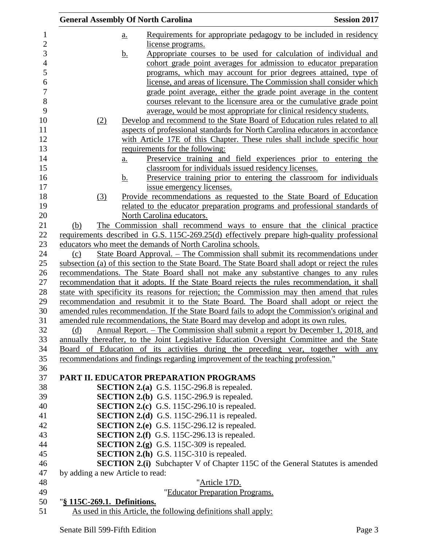| <b>General Assembly Of North Carolina</b> |                   |                                                                                 | <b>Session 2017</b>                                                                                |
|-------------------------------------------|-------------------|---------------------------------------------------------------------------------|----------------------------------------------------------------------------------------------------|
|                                           | $\underline{a}$ . |                                                                                 | Requirements for appropriate pedagogy to be included in residency                                  |
|                                           |                   | license programs.                                                               |                                                                                                    |
|                                           | <u>b.</u>         |                                                                                 | Appropriate courses to be used for calculation of individual and                                   |
|                                           |                   |                                                                                 | cohort grade point averages for admission to educator preparation                                  |
|                                           |                   |                                                                                 | programs, which may account for prior degrees attained, type of                                    |
|                                           |                   |                                                                                 | license, and areas of licensure. The Commission shall consider which                               |
|                                           |                   |                                                                                 | grade point average, either the grade point average in the content                                 |
|                                           |                   |                                                                                 | courses relevant to the licensure area or the cumulative grade point                               |
|                                           |                   |                                                                                 | average, would be most appropriate for clinical residency students.                                |
| (2)                                       |                   |                                                                                 | Develop and recommend to the State Board of Education rules related to all                         |
|                                           |                   |                                                                                 | aspects of professional standards for North Carolina educators in accordance                       |
|                                           |                   |                                                                                 | with Article 17E of this Chapter. These rules shall include specific hour                          |
|                                           |                   | requirements for the following:                                                 |                                                                                                    |
|                                           | a.                |                                                                                 | Preservice training and field experiences prior to entering the                                    |
|                                           |                   | classroom for individuals issued residency licenses.                            |                                                                                                    |
|                                           | <u>b.</u>         |                                                                                 | Preservice training prior to entering the classroom for individuals                                |
|                                           |                   | issue emergency licenses.                                                       |                                                                                                    |
| (3)                                       |                   |                                                                                 | Provide recommendations as requested to the State Board of Education                               |
|                                           |                   |                                                                                 | related to the educator preparation programs and professional standards of                         |
|                                           |                   | North Carolina educators.                                                       |                                                                                                    |
| (b)                                       |                   |                                                                                 | The Commission shall recommend ways to ensure that the clinical practice                           |
|                                           |                   | educators who meet the demands of North Carolina schools.                       | requirements described in G.S. 115C-269.25(d) effectively prepare high-quality professional        |
| (c)                                       |                   |                                                                                 | <u> State Board Approval. – The Commission shall submit its recommendations under</u>              |
|                                           |                   |                                                                                 | subsection (a) of this section to the State Board. The State Board shall adopt or reject the rules |
|                                           |                   |                                                                                 | recommendations. The State Board shall not make any substantive changes to any rules               |
|                                           |                   |                                                                                 | recommendation that it adopts. If the State Board rejects the rules recommendation, it shall       |
|                                           |                   |                                                                                 | state with specificity its reasons for rejection; the Commission may then amend that rules         |
|                                           |                   |                                                                                 | recommendation and resubmit it to the State Board. The Board shall adopt or reject the             |
|                                           |                   |                                                                                 | amended rules recommendation. If the State Board fails to adopt the Commission's original and      |
|                                           |                   |                                                                                 | amended rule recommendations, the State Board may develop and adopt its own rules.                 |
| (d)                                       |                   |                                                                                 | Annual Report. – The Commission shall submit a report by December 1, 2018, and                     |
|                                           |                   |                                                                                 | annually thereafter, to the Joint Legislative Education Oversight Committee and the State          |
|                                           |                   |                                                                                 | Board of Education of its activities during the preceding year, together with any                  |
|                                           |                   | recommendations and findings regarding improvement of the teaching profession." |                                                                                                    |
|                                           |                   | PART II. EDUCATOR PREPARATION PROGRAMS                                          |                                                                                                    |
|                                           |                   | <b>SECTION 2.(a)</b> G.S. 115C-296.8 is repealed.                               |                                                                                                    |
|                                           |                   | <b>SECTION 2.(b)</b> G.S. 115C-296.9 is repealed.                               |                                                                                                    |
|                                           |                   | <b>SECTION 2.(c)</b> G.S. 115C-296.10 is repealed.                              |                                                                                                    |
|                                           |                   | <b>SECTION 2.(d)</b> G.S. 115C-296.11 is repealed.                              |                                                                                                    |
|                                           |                   | <b>SECTION 2.(e)</b> G.S. 115C-296.12 is repealed.                              |                                                                                                    |
|                                           |                   | <b>SECTION 2.(f)</b> G.S. 115C-296.13 is repealed.                              |                                                                                                    |
|                                           |                   | <b>SECTION 2.(g)</b> G.S. 115C-309 is repealed.                                 |                                                                                                    |
|                                           |                   | <b>SECTION 2.(h)</b> G.S. 115C-310 is repealed.                                 |                                                                                                    |
|                                           |                   |                                                                                 | <b>SECTION 2.(i)</b> Subchapter V of Chapter 115C of the General Statutes is amended               |
| by adding a new Article to read:          |                   |                                                                                 |                                                                                                    |
|                                           |                   | "Article 17D.                                                                   |                                                                                                    |
|                                           |                   | "Educator Preparation Programs.                                                 |                                                                                                    |
| "§ 115C-269.1. Definitions.               |                   |                                                                                 |                                                                                                    |
|                                           |                   | As used in this Article, the following definitions shall apply:                 |                                                                                                    |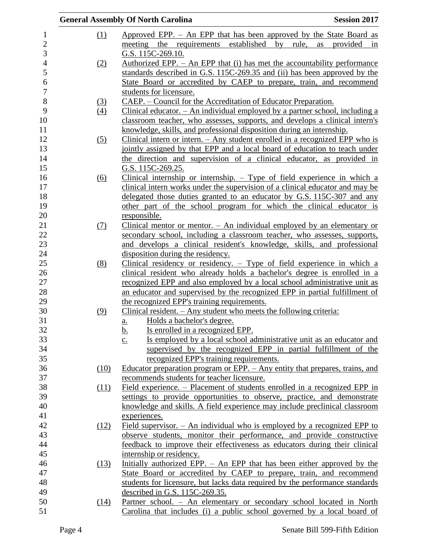|                   | <b>General Assembly Of North Carolina</b><br><b>Session 2017</b>                          |    |
|-------------------|-------------------------------------------------------------------------------------------|----|
| (1)               | Approved EPP. - An EPP that has been approved by the State Board as                       |    |
|                   | meeting the requirements established by rule,<br>as<br>provided                           | in |
|                   | G.S. 115C-269.10.                                                                         |    |
| (2)               | Authorized EPP. $-$ An EPP that (i) has met the accountability performance                |    |
|                   | standards described in G.S. 115C-269.35 and (ii) has been approved by the                 |    |
|                   | State Board or accredited by CAEP to prepare, train, and recommend                        |    |
|                   | students for licensure.                                                                   |    |
| <u>(3)</u>        | CAEP. – Council for the Accreditation of Educator Preparation.                            |    |
| $\left(4\right)$  | Clinical educator. - An individual employed by a partner school, including a              |    |
|                   | classroom teacher, who assesses, supports, and develops a clinical intern's               |    |
|                   | knowledge, skills, and professional disposition during an internship.                     |    |
| $\left( 5\right)$ | Clinical intern or intern. $-$ Any student enrolled in a recognized EPP who is            |    |
|                   | jointly assigned by that EPP and a local board of education to teach under                |    |
|                   | the direction and supervision of a clinical educator, as provided in                      |    |
|                   | G.S. 115C-269.25.                                                                         |    |
| (6)               | Clinical internship or internship. $-$ Type of field experience in which a                |    |
|                   | clinical intern works under the supervision of a clinical educator and may be             |    |
|                   | delegated those duties granted to an educator by G.S. 115C-307 and any                    |    |
|                   | other part of the school program for which the clinical educator is                       |    |
|                   | responsible.                                                                              |    |
| <u>(7)</u>        | Clinical mentor or mentor. $-$ An individual employed by an elementary or                 |    |
|                   | secondary school, including a classroom teacher, who assesses, supports,                  |    |
|                   | and develops a clinical resident's knowledge, skills, and professional                    |    |
|                   | disposition during the residency.                                                         |    |
| (8)               | Clinical residency or residency. $-$ Type of field experience in which a                  |    |
|                   | clinical resident who already holds a bachelor's degree is enrolled in a                  |    |
|                   | recognized EPP and also employed by a local school administrative unit as                 |    |
|                   | an educator and supervised by the recognized EPP in partial fulfillment of                |    |
|                   | the recognized EPP's training requirements.                                               |    |
| (9)               | Clinical resident. $-$ Any student who meets the following criteria:                      |    |
|                   | Holds a bachelor's degree.<br>a.                                                          |    |
|                   | Is enrolled in a recognized EPP.<br><u>b.</u>                                             |    |
|                   | Is employed by a local school administrative unit as an educator and<br>$\underline{c}$ . |    |
|                   | supervised by the recognized EPP in partial fulfillment of the                            |    |
|                   | recognized EPP's training requirements.                                                   |    |
| (10)              | Educator preparation program or EPP. - Any entity that prepares, trains, and              |    |
|                   | recommends students for teacher licensure.                                                |    |
| (11)              | Field experience. – Placement of students enrolled in a recognized EPP in                 |    |
|                   | settings to provide opportunities to observe, practice, and demonstrate                   |    |
|                   | knowledge and skills. A field experience may include preclinical classroom                |    |
|                   | experiences.                                                                              |    |
| (12)              | Field supervisor. $-$ An individual who is employed by a recognized EPP to                |    |
|                   | observe students, monitor their performance, and provide constructive                     |    |
|                   | feedback to improve their effectiveness as educators during their clinical                |    |
|                   | internship or residency.                                                                  |    |
| (13)              | Initially authorized EPP. - An EPP that has been either approved by the                   |    |
|                   | State Board or accredited by CAEP to prepare, train, and recommend                        |    |
|                   | students for licensure, but lacks data required by the performance standards              |    |
|                   | described in G.S. 115C-269.35.                                                            |    |
| (14)              | Partner school. - An elementary or secondary school located in North                      |    |
|                   | Carolina that includes (i) a public school governed by a local board of                   |    |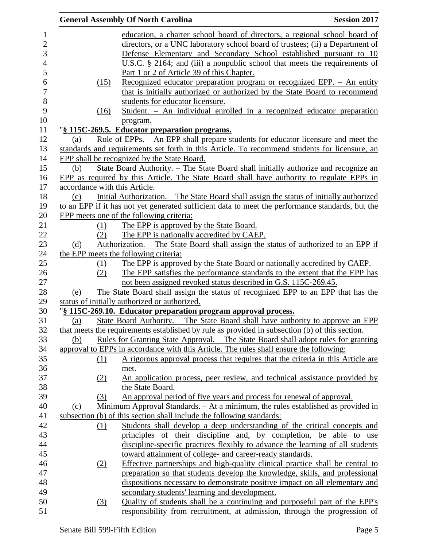|                  | <b>General Assembly Of North Carolina</b>                                                        | <b>Session 2017</b> |
|------------------|--------------------------------------------------------------------------------------------------|---------------------|
|                  | education, a charter school board of directors, a regional school board of                       |                     |
|                  | directors, or a UNC laboratory school board of trustees; (ii) a Department of                    |                     |
|                  | Defense Elementary and Secondary School established pursuant to 10                               |                     |
|                  | U.S.C. $\S$ 2164; and (iii) a nonpublic school that meets the requirements of                    |                     |
|                  | Part 1 or 2 of Article 39 of this Chapter.                                                       |                     |
| (15)             | Recognized educator preparation program or recognized EPP. - An entity                           |                     |
|                  | that is initially authorized or authorized by the State Board to recommend                       |                     |
|                  | students for educator licensure.                                                                 |                     |
| (16)             | Student. - An individual enrolled in a recognized educator preparation                           |                     |
|                  | program.                                                                                         |                     |
|                  | "§ 115C-269.5. Educator preparation programs.                                                    |                     |
| (a)              | Role of EPPs. – An EPP shall prepare students for educator licensure and meet the                |                     |
|                  | standards and requirements set forth in this Article. To recommend students for licensure, an    |                     |
|                  | EPP shall be recognized by the State Board.                                                      |                     |
| (b)              | State Board Authority. – The State Board shall initially authorize and recognize an              |                     |
|                  | EPP as required by this Article. The State Board shall have authority to regulate EPPs in        |                     |
|                  | accordance with this Article.                                                                    |                     |
| (c)              | Initial Authorization. – The State Board shall assign the status of initially authorized         |                     |
|                  | to an EPP if it has not yet generated sufficient data to meet the performance standards, but the |                     |
|                  | EPP meets one of the following criteria:                                                         |                     |
| (1)              | The EPP is approved by the State Board.                                                          |                     |
| (2)              | The EPP is nationally accredited by CAEP.                                                        |                     |
| (d)              | Authorization. – The State Board shall assign the status of authorized to an EPP if              |                     |
|                  | the EPP meets the following criteria:                                                            |                     |
| $\Omega$         | The EPP is approved by the State Board or nationally accredited by CAEP.                         |                     |
| (2)              | The EPP satisfies the performance standards to the extent that the EPP has                       |                     |
|                  | not been assigned revoked status described in G.S. 115C-269.45.                                  |                     |
| (e)              | The State Board shall assign the status of recognized EPP to an EPP that has the                 |                     |
|                  | status of initially authorized or authorized.                                                    |                     |
|                  | "§ 115C-269.10. Educator preparation program approval process.                                   |                     |
| (a)              | State Board Authority. - The State Board shall have authority to approve an EPP                  |                     |
|                  | that meets the requirements established by rule as provided in subsection (b) of this section.   |                     |
| (b)              | <u>Rules for Granting State Approval. – The State Board shall adopt rules for granting</u>       |                     |
|                  | approval to EPPs in accordance with this Article. The rules shall ensure the following:          |                     |
| $\Omega$         | A rigorous approval process that requires that the criteria in this Article are                  |                     |
|                  | met.                                                                                             |                     |
| (2)              | An application process, peer review, and technical assistance provided by                        |                     |
|                  | the State Board.                                                                                 |                     |
| (3)              | An approval period of five years and process for renewal of approval.                            |                     |
| (c)              | Minimum Approval Standards. - At a minimum, the rules established as provided in                 |                     |
|                  | subsection (b) of this section shall include the following standards:                            |                     |
| (1)              | Students shall develop a deep understanding of the critical concepts and                         |                     |
|                  | principles of their discipline and, by completion,                                               | be able to<br>use   |
|                  | discipline-specific practices flexibly to advance the learning of all students                   |                     |
|                  | toward attainment of college- and career-ready standards.                                        |                     |
| (2)              | Effective partnerships and high-quality clinical practice shall be central to                    |                     |
|                  | preparation so that students develop the knowledge, skills, and professional                     |                     |
|                  | dispositions necessary to demonstrate positive impact on all elementary and                      |                     |
|                  | secondary students' learning and development.                                                    |                     |
| $\left(3\right)$ | Quality of students shall be a continuing and purposeful part of the EPP's                       |                     |
|                  | responsibility from recruitment, at admission, through the progression of                        |                     |
|                  |                                                                                                  |                     |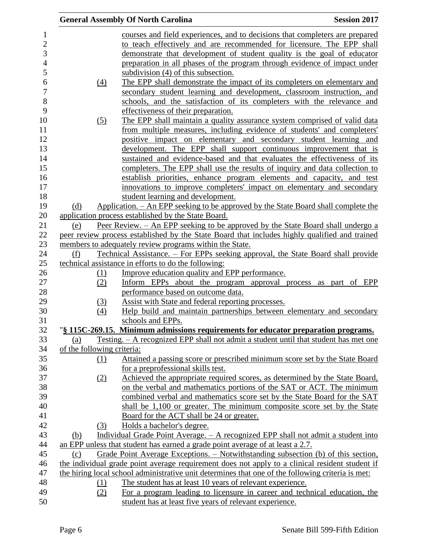|                            | <b>General Assembly Of North Carolina</b>                                                                                            | <b>Session 2017</b> |
|----------------------------|--------------------------------------------------------------------------------------------------------------------------------------|---------------------|
|                            | courses and field experiences, and to decisions that completers are prepared                                                         |                     |
|                            | to teach effectively and are recommended for licensure. The EPP shall                                                                |                     |
|                            | demonstrate that development of student quality is the goal of educator                                                              |                     |
|                            | preparation in all phases of the program through evidence of impact under                                                            |                     |
|                            | subdivision (4) of this subsection.                                                                                                  |                     |
|                            | The EPP shall demonstrate the impact of its completers on elementary and                                                             |                     |
| $\left(4\right)$           |                                                                                                                                      |                     |
|                            | secondary student learning and development, classroom instruction, and                                                               |                     |
|                            | schools, and the satisfaction of its completers with the relevance and                                                               |                     |
|                            | effectiveness of their preparation.                                                                                                  |                     |
| $\left( 5\right)$          | The EPP shall maintain a quality assurance system comprised of valid data                                                            |                     |
|                            | from multiple measures, including evidence of students' and completers'                                                              |                     |
|                            | positive impact on elementary and secondary student learning and                                                                     |                     |
|                            | development. The EPP shall support continuous improvement that is                                                                    |                     |
|                            | sustained and evidence-based and that evaluates the effectiveness of its                                                             |                     |
|                            | completers. The EPP shall use the results of inquiry and data collection to                                                          |                     |
|                            | establish priorities, enhance program elements and capacity, and test                                                                |                     |
|                            | innovations to improve completers' impact on elementary and secondary                                                                |                     |
|                            | student learning and development.                                                                                                    |                     |
| (d)                        | Application. – An EPP seeking to be approved by the State Board shall complete the                                                   |                     |
|                            | application process established by the State Board.                                                                                  |                     |
| (e)                        | Peer Review. – An EPP seeking to be approved by the State Board shall undergo a                                                      |                     |
|                            | peer review process established by the State Board that includes highly qualified and trained                                        |                     |
|                            | members to adequately review programs within the State.                                                                              |                     |
| (f)                        | <u> Technical Assistance. – For EPPs seeking approval, the State Board shall provide</u>                                             |                     |
|                            | technical assistance in efforts to do the following:                                                                                 |                     |
| (1)                        | Improve education quality and EPP performance.                                                                                       |                     |
| (2)                        | Inform EPPs about the program approval process as part of EPP                                                                        |                     |
|                            | performance based on outcome data.                                                                                                   |                     |
| (3)                        | Assist with State and federal reporting processes.                                                                                   |                     |
| (4)                        | Help build and maintain partnerships between elementary and secondary                                                                |                     |
|                            | schools and EPPs.                                                                                                                    |                     |
|                            | "§ 115C-269.15. Minimum admissions requirements for educator preparation programs.                                                   |                     |
| (a)                        | <u>Testing. – A recognized EPP shall not admit a student until that student has met one</u>                                          |                     |
| of the following criteria: |                                                                                                                                      |                     |
| (1)                        | Attained a passing score or prescribed minimum score set by the State Board                                                          |                     |
|                            | for a preprofessional skills test.                                                                                                   |                     |
| (2)                        | Achieved the appropriate required scores, as determined by the State Board,                                                          |                     |
|                            | on the verbal and mathematics portions of the SAT or ACT. The minimum                                                                |                     |
|                            | combined verbal and mathematics score set by the State Board for the SAT                                                             |                     |
|                            | shall be 1,100 or greater. The minimum composite score set by the State                                                              |                     |
|                            | Board for the ACT shall be 24 or greater.                                                                                            |                     |
| (3)                        | Holds a bachelor's degree.                                                                                                           |                     |
| (b)                        | Individual Grade Point Average. - A recognized EPP shall not admit a student into                                                    |                     |
|                            | an EPP unless that student has earned a grade point average of at least a 2.7.                                                       |                     |
| (c)                        | Grade Point Average Exceptions. – Notwithstanding subsection (b) of this section,                                                    |                     |
|                            | the individual grade point average requirement does not apply to a clinical resident student if                                      |                     |
|                            | the hiring local school administrative unit determines that one of the following criteria is met:                                    |                     |
| (1)                        | The student has at least 10 years of relevant experience.                                                                            |                     |
|                            |                                                                                                                                      |                     |
|                            |                                                                                                                                      |                     |
| (2)                        | For a program leading to licensure in career and technical education, the<br>student has at least five years of relevant experience. |                     |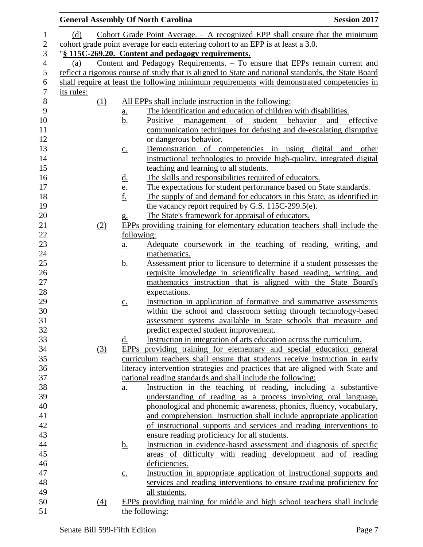|            |                   | <b>General Assembly Of North Carolina</b>                                                                                                   | <b>Session 2017</b> |
|------------|-------------------|---------------------------------------------------------------------------------------------------------------------------------------------|---------------------|
| (d)        |                   | Cohort Grade Point Average. $-$ A recognized EPP shall ensure that the minimum                                                              |                     |
|            |                   | cohort grade point average for each entering cohort to an EPP is at least a 3.0.                                                            |                     |
|            |                   | "§ 115C-269.20. Content and pedagogy requirements.                                                                                          |                     |
| (a)        |                   | Content and Pedagogy Requirements. - To ensure that EPPs remain current and                                                                 |                     |
|            |                   | reflect a rigorous course of study that is aligned to State and national standards, the State Board                                         |                     |
|            |                   | shall require at least the following minimum requirements with demonstrated competencies in                                                 |                     |
| its rules: |                   |                                                                                                                                             |                     |
| (1)        |                   | All EPPs shall include instruction in the following:                                                                                        |                     |
|            | <u>a.</u>         | The identification and education of children with disabilities.                                                                             |                     |
|            | <u>b.</u>         | Positive management of student behavior                                                                                                     | and<br>effective    |
|            |                   | communication techniques for defusing and de-escalating disruptive                                                                          |                     |
|            |                   | <u>or dangerous behavior.</u>                                                                                                               |                     |
|            | $\underline{c}$ . | Demonstration of competencies in using digital and other                                                                                    |                     |
|            |                   | instructional technologies to provide high-quality, integrated digital                                                                      |                     |
|            |                   | teaching and learning to all students.                                                                                                      |                     |
|            | <u>d.</u>         | The skills and responsibilities required of educators.                                                                                      |                     |
|            |                   | The expectations for student performance based on State standards.                                                                          |                     |
|            | $\frac{e}{f}$     | The supply of and demand for educators in this State, as identified in                                                                      |                     |
|            |                   | the vacancy report required by G.S. 115C-299.5(e).                                                                                          |                     |
|            | g.                | The State's framework for appraisal of educators.                                                                                           |                     |
| (2)        |                   | EPPs providing training for elementary education teachers shall include the                                                                 |                     |
|            |                   | following:                                                                                                                                  |                     |
|            | $\underline{a}$ . | Adequate coursework in the teaching of reading, writing, and                                                                                |                     |
|            |                   | mathematics.                                                                                                                                |                     |
|            | <u>b.</u>         | Assessment prior to licensure to determine if a student possesses the                                                                       |                     |
|            |                   | requisite knowledge in scientifically based reading, writing, and                                                                           |                     |
|            |                   | mathematics instruction that is aligned with the State Board's                                                                              |                     |
|            |                   | expectations.                                                                                                                               |                     |
|            | $\underline{c}$ . | Instruction in application of formative and summative assessments                                                                           |                     |
|            |                   | within the school and classroom setting through technology-based                                                                            |                     |
|            |                   | assessment systems available in State schools that measure and                                                                              |                     |
|            |                   | predict expected student improvement.                                                                                                       |                     |
|            | d.                | Instruction in integration of arts education across the curriculum.                                                                         |                     |
| (3)        |                   | EPPs providing training for elementary and special education general                                                                        |                     |
|            |                   | curriculum teachers shall ensure that students receive instruction in early                                                                 |                     |
|            |                   | literacy intervention strategies and practices that are aligned with State and                                                              |                     |
|            |                   | national reading standards and shall include the following:                                                                                 |                     |
|            | $\underline{a}$ . | Instruction in the teaching of reading, including a substantive                                                                             |                     |
|            |                   | understanding of reading as a process involving oral language,                                                                              |                     |
|            |                   | phonological and phonemic awareness, phonics, fluency, vocabulary,                                                                          |                     |
|            |                   | and comprehension. Instruction shall include appropriate application<br>of instructional supports and services and reading interventions to |                     |
|            |                   | ensure reading proficiency for all students.                                                                                                |                     |
|            | <u>b.</u>         | Instruction in evidence-based assessment and diagnosis of specific                                                                          |                     |
|            |                   | areas of difficulty with reading development and of reading                                                                                 |                     |
|            |                   | deficiencies.                                                                                                                               |                     |
|            | $\underline{C}$ . | Instruction in appropriate application of instructional supports and                                                                        |                     |
|            |                   | services and reading interventions to ensure reading proficiency for                                                                        |                     |
|            |                   | all students.                                                                                                                               |                     |
| (4)        |                   | EPPs providing training for middle and high school teachers shall include                                                                   |                     |
|            |                   | the following:                                                                                                                              |                     |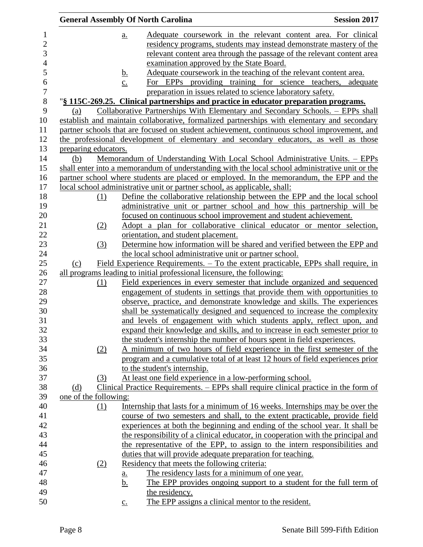|                |                       | <b>General Assembly Of North Carolina</b>                                                                                                              | <b>Session 2017</b> |
|----------------|-----------------------|--------------------------------------------------------------------------------------------------------------------------------------------------------|---------------------|
| $\mathbf{1}$   |                       | Adequate coursework in the relevant content area. For clinical<br>$a_{\cdot}$                                                                          |                     |
| $\overline{2}$ |                       | residency programs, students may instead demonstrate mastery of the                                                                                    |                     |
| 3              |                       | relevant content area through the passage of the relevant content area                                                                                 |                     |
| $\overline{4}$ |                       | examination approved by the State Board.                                                                                                               |                     |
| 5              |                       | Adequate coursework in the teaching of the relevant content area.<br><u>b.</u>                                                                         |                     |
| 6              |                       | $\underline{c}$ .<br>For EPPs providing training for science teachers,                                                                                 | adequate            |
| $\overline{7}$ |                       | preparation in issues related to science laboratory safety.                                                                                            |                     |
| 8              |                       | "§ 115C-269.25. Clinical partnerships and practice in educator preparation programs.                                                                   |                     |
| 9              | (a)                   | Collaborative Partnerships With Elementary and Secondary Schools. – EPPs shall                                                                         |                     |
| 10             |                       | establish and maintain collaborative, formalized partnerships with elementary and secondary                                                            |                     |
| 11             |                       | partner schools that are focused on student achievement, continuous school improvement, and                                                            |                     |
| 12             |                       | the professional development of elementary and secondary educators, as well as those                                                                   |                     |
| 13             | preparing educators.  |                                                                                                                                                        |                     |
| 14             | (b)                   | Memorandum of Understanding With Local School Administrative Units. - EPPs                                                                             |                     |
| 15             |                       | shall enter into a memorandum of understanding with the local school administrative unit or the                                                        |                     |
| 16             |                       | partner school where students are placed or employed. In the memorandum, the EPP and the                                                               |                     |
| 17             |                       | local school administrative unit or partner school, as applicable, shall:                                                                              |                     |
| 18             | (1)                   | Define the collaborative relationship between the EPP and the local school                                                                             |                     |
| 19             |                       | administrative unit or partner school and how this partnership will be                                                                                 |                     |
| 20             |                       | focused on continuous school improvement and student achievement.                                                                                      |                     |
| 21             | (2)                   | Adopt a plan for collaborative clinical educator or mentor selection,                                                                                  |                     |
| 22             |                       | orientation, and student placement.                                                                                                                    |                     |
| 23             | (3)                   | Determine how information will be shared and verified between the EPP and                                                                              |                     |
| 24             |                       | the local school administrative unit or partner school.                                                                                                |                     |
| 25             | (c)                   | Field Experience Requirements. – To the extent practicable, EPPs shall require, in                                                                     |                     |
| 26             |                       | all programs leading to initial professional licensure, the following:                                                                                 |                     |
| 27             | (1)                   | Field experiences in every semester that include organized and sequenced                                                                               |                     |
| 28<br>29       |                       | engagement of students in settings that provide them with opportunities to<br>observe, practice, and demonstrate knowledge and skills. The experiences |                     |
| 30             |                       | shall be systematically designed and sequenced to increase the complexity                                                                              |                     |
| 31             |                       | and levels of engagement with which students apply, reflect upon, and                                                                                  |                     |
| 32             |                       | expand their knowledge and skills, and to increase in each semester prior to                                                                           |                     |
| 33             |                       | the student's internship the number of hours spent in field experiences.                                                                               |                     |
| 34             | (2)                   | A minimum of two hours of field experience in the first semester of the                                                                                |                     |
| 35             |                       | program and a cumulative total of at least 12 hours of field experiences prior                                                                         |                     |
| 36             |                       | to the student's internship.                                                                                                                           |                     |
| 37             | (3)                   | At least one field experience in a low-performing school.                                                                                              |                     |
| 38             | (d)                   | Clinical Practice Requirements. – EPPs shall require clinical practice in the form of                                                                  |                     |
| 39             | one of the following: |                                                                                                                                                        |                     |
| 40             | $\Omega$              | Internship that lasts for a minimum of 16 weeks. Internships may be over the                                                                           |                     |
| 41             |                       | course of two semesters and shall, to the extent practicable, provide field                                                                            |                     |
| 42             |                       | experiences at both the beginning and ending of the school year. It shall be                                                                           |                     |
| 43             |                       | the responsibility of a clinical educator, in cooperation with the principal and                                                                       |                     |
| 44             |                       | the representative of the EPP, to assign to the intern responsibilities and                                                                            |                     |
| 45             |                       | duties that will provide adequate preparation for teaching.                                                                                            |                     |
| 46             | (2)                   | Residency that meets the following criteria:                                                                                                           |                     |
| 47             |                       | The residency lasts for a minimum of one year.<br><u>a.</u>                                                                                            |                     |
| 48             |                       | <u>b.</u><br>The EPP provides ongoing support to a student for the full term of                                                                        |                     |
| 49             |                       | the residency.                                                                                                                                         |                     |
| 50             |                       | The EPP assigns a clinical mentor to the resident.<br>$\mathbf{c}$ .                                                                                   |                     |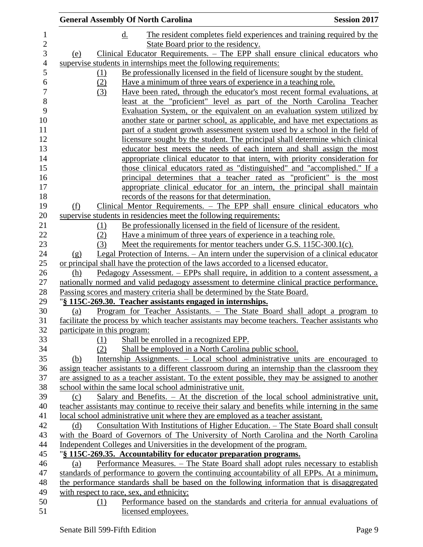|                                | <b>General Assembly Of North Carolina</b>                                                        | <b>Session 2017</b> |
|--------------------------------|--------------------------------------------------------------------------------------------------|---------------------|
|                                | d.<br>The resident completes field experiences and training required by the                      |                     |
|                                | State Board prior to the residency.                                                              |                     |
| (e)                            | Clinical Educator Requirements. - The EPP shall ensure clinical educators who                    |                     |
|                                | supervise students in internships meet the following requirements:                               |                     |
| (1)                            | Be professionally licensed in the field of licensure sought by the student.                      |                     |
| (2)                            | Have a minimum of three years of experience in a teaching role.                                  |                     |
| (3)                            | Have been rated, through the educator's most recent formal evaluations, at                       |                     |
|                                | least at the "proficient" level as part of the North Carolina Teacher                            |                     |
|                                | Evaluation System, or the equivalent on an evaluation system utilized by                         |                     |
|                                | another state or partner school, as applicable, and have met expectations as                     |                     |
|                                | part of a student growth assessment system used by a school in the field of                      |                     |
|                                | licensure sought by the student. The principal shall determine which clinical                    |                     |
|                                | educator best meets the needs of each intern and shall assign the most                           |                     |
|                                | appropriate clinical educator to that intern, with priority consideration for                    |                     |
|                                | those clinical educators rated as "distinguished" and "accomplished." If a                       |                     |
|                                | principal determines that a teacher rated as "proficient" is the most                            |                     |
|                                | appropriate clinical educator for an intern, the principal shall maintain                        |                     |
|                                | records of the reasons for that determination.                                                   |                     |
| (f)                            | Clinical Mentor Requirements. - The EPP shall ensure clinical educators who                      |                     |
|                                | supervise students in residencies meet the following requirements:                               |                     |
| (1)                            | Be professionally licensed in the field of licensure of the resident.                            |                     |
| (2)                            | Have a minimum of three years of experience in a teaching role.                                  |                     |
| (3)                            | Meet the requirements for mentor teachers under G.S. 115C-300.1(c).                              |                     |
| $\left( \underline{g} \right)$ | <u>Legal Protection of Interns. – An internet under the supervision of a clinical educator</u>   |                     |
|                                | or principal shall have the protection of the laws accorded to a licensed educator.              |                     |
| (h)                            | Pedagogy Assessment. – EPPs shall require, in addition to a content assessment, a                |                     |
|                                | nationally normed and valid pedagogy assessment to determine clinical practice performance.      |                     |
|                                | Passing scores and mastery criteria shall be determined by the State Board.                      |                     |
|                                | "§ 115C-269.30. Teacher assistants engaged in internships.                                       |                     |
| (a)                            | Program for Teacher Assistants. – The State Board shall adopt a program to                       |                     |
|                                | facilitate the process by which teacher assistants may become teachers. Teacher assistants who   |                     |
| participate in this program:   |                                                                                                  |                     |
| (1)                            | Shall be enrolled in a recognized EPP.                                                           |                     |
| (2)                            | Shall be employed in a North Carolina public school.                                             |                     |
| (b)                            | Internship Assignments. – Local school administrative units are encouraged to                    |                     |
|                                | assign teacher assistants to a different classroom during an internship than the classroom they  |                     |
|                                | are assigned to as a teacher assistant. To the extent possible, they may be assigned to another  |                     |
|                                | school within the same local school administrative unit.                                         |                     |
| (c)                            | Salary and Benefits. $-$ At the discretion of the local school administrative unit,              |                     |
|                                | teacher assistants may continue to receive their salary and benefits while interning in the same |                     |
|                                | local school administrative unit where they are employed as a teacher assistant.                 |                     |
| (d)                            | <u>Consultation With Institutions of Higher Education. – The State Board shall consult</u>       |                     |
|                                | with the Board of Governors of The University of North Carolina and the North Carolina           |                     |
|                                | Independent Colleges and Universities in the development of the program.                         |                     |
|                                | "§ 115C-269.35. Accountability for educator preparation programs.                                |                     |
| (a)                            | Performance Measures. - The State Board shall adopt rules necessary to establish                 |                     |
|                                | standards of performance to govern the continuing accountability of all EPPs. At a minimum,      |                     |
|                                | the performance standards shall be based on the following information that is disaggregated      |                     |
|                                | with respect to race, sex, and ethnicity:                                                        |                     |
| (1)                            | Performance based on the standards and criteria for annual evaluations of                        |                     |
|                                | licensed employees.                                                                              |                     |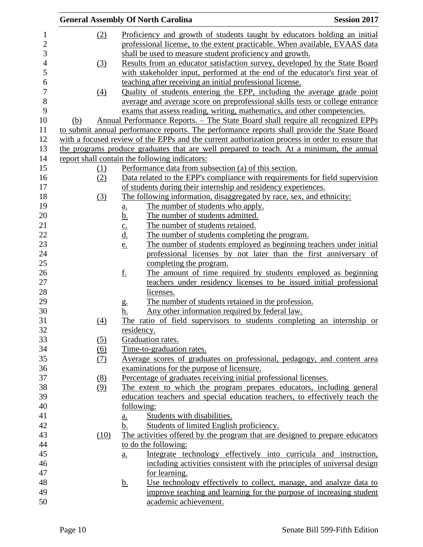|                |                   |                   | <b>General Assembly Of North Carolina</b>                                                                                                 | <b>Session 2017</b> |
|----------------|-------------------|-------------------|-------------------------------------------------------------------------------------------------------------------------------------------|---------------------|
| $\mathbf{1}$   | (2)               |                   | Proficiency and growth of students taught by educators holding an initial                                                                 |                     |
| $\overline{c}$ |                   |                   | professional license, to the extent practicable. When available, EVAAS data                                                               |                     |
| 3              |                   |                   | shall be used to measure student proficiency and growth.                                                                                  |                     |
| $\overline{4}$ | (3)               |                   | Results from an educator satisfaction survey, developed by the State Board                                                                |                     |
| 5              |                   |                   | with stakeholder input, performed at the end of the educator's first year of                                                              |                     |
| 6              |                   |                   | teaching after receiving an initial professional license.                                                                                 |                     |
| $\overline{7}$ | $\underline{(4)}$ |                   | Quality of students entering the EPP, including the average grade point                                                                   |                     |
| 8              |                   |                   | average and average score on preprofessional skills tests or college entrance                                                             |                     |
| 9              |                   |                   | exams that assess reading, writing, mathematics, and other competencies.                                                                  |                     |
| 10             | (b)               |                   | Annual Performance Reports. – The State Board shall require all recognized EPPs                                                           |                     |
| 11             |                   |                   | to submit annual performance reports. The performance reports shall provide the State Board                                               |                     |
| 12             |                   |                   | with a focused review of the EPPs and the current authorization process in order to ensure that                                           |                     |
| 13             |                   |                   | the programs produce graduates that are well prepared to teach. At a minimum, the annual                                                  |                     |
| 14             |                   |                   | report shall contain the following indicators:                                                                                            |                     |
| 15             | (1)               |                   | Performance data from subsection (a) of this section.                                                                                     |                     |
| 16             | (2)               |                   | Data related to the EPP's compliance with requirements for field supervision                                                              |                     |
| 17             |                   |                   | of students during their internship and residency experiences.                                                                            |                     |
| 18             | (3)               |                   | The following information, disaggregated by race, sex, and ethnicity:                                                                     |                     |
| 19             |                   | <u>a.</u>         | The number of students who apply.                                                                                                         |                     |
| 20             |                   | <u>b.</u>         | The number of students admitted.                                                                                                          |                     |
| 21             |                   |                   | The number of students retained.                                                                                                          |                     |
| 22             |                   | $\frac{c}{d}$     | The number of students completing the program.                                                                                            |                     |
| 23             |                   | <u>e.</u>         | The number of students employed as beginning teachers under initial                                                                       |                     |
| 24             |                   |                   | professional licenses by not later than the first anniversary of                                                                          |                     |
| 25             |                   |                   | completing the program.                                                                                                                   |                     |
| 26             |                   | <u>f.</u>         | The amount of time required by students employed as beginning                                                                             |                     |
| 27             |                   |                   | teachers under residency licenses to be issued initial professional                                                                       |                     |
| 28             |                   |                   | licenses.                                                                                                                                 |                     |
| 29             |                   | g.                | The number of students retained in the profession.                                                                                        |                     |
| 30             |                   | h.                | Any other information required by federal law.                                                                                            |                     |
| 31             | (4)               |                   | The ratio of field supervisors to students completing an internship or                                                                    |                     |
| 32             |                   |                   | <u>residency.</u>                                                                                                                         |                     |
| 33             | (5)               |                   | Graduation rates.                                                                                                                         |                     |
| 34             | (6)               |                   | Time-to-graduation rates.                                                                                                                 |                     |
| 35             | (7)               |                   | Average scores of graduates on professional, pedagogy, and content area                                                                   |                     |
| 36             |                   |                   | examinations for the purpose of licensure.                                                                                                |                     |
| 37             | (8)               |                   | Percentage of graduates receiving initial professional licenses.                                                                          |                     |
| 38             | (9)               |                   | The extent to which the program prepares educators, including general                                                                     |                     |
| 39             |                   |                   | education teachers and special education teachers, to effectively teach the                                                               |                     |
| 40             |                   |                   | following:                                                                                                                                |                     |
| 41             |                   | <u>a.</u>         | Students with disabilities.                                                                                                               |                     |
| 42             |                   | b.                | Students of limited English proficiency.                                                                                                  |                     |
| 43             | (10)              |                   | The activities offered by the program that are designed to prepare educators                                                              |                     |
| 44             |                   |                   | to do the following:                                                                                                                      |                     |
| 45             |                   | $\underline{a}$ . | Integrate technology effectively into curricula and instruction,                                                                          |                     |
| 46             |                   |                   | including activities consistent with the principles of universal design                                                                   |                     |
| 47<br>48       |                   |                   | for learning.                                                                                                                             |                     |
| 49             |                   | <u>b.</u>         | Use technology effectively to collect, manage, and analyze data to<br>improve teaching and learning for the purpose of increasing student |                     |
| 50             |                   |                   | academic achievement.                                                                                                                     |                     |
|                |                   |                   |                                                                                                                                           |                     |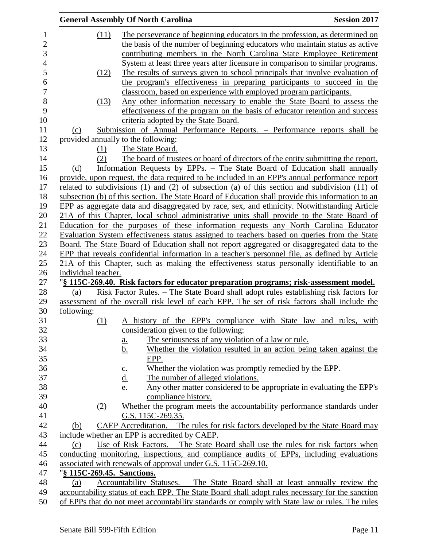|                     | <b>General Assembly Of North Carolina</b>                                                                                                                                    | <b>Session 2017</b> |
|---------------------|------------------------------------------------------------------------------------------------------------------------------------------------------------------------------|---------------------|
| (11)                | The perseverance of beginning educators in the profession, as determined on                                                                                                  |                     |
|                     | the basis of the number of beginning educators who maintain status as active                                                                                                 |                     |
|                     | contributing members in the North Carolina State Employee Retirement                                                                                                         |                     |
|                     | System at least three years after licensure in comparison to similar programs.                                                                                               |                     |
| (12)                | The results of surveys given to school principals that involve evaluation of                                                                                                 |                     |
|                     | the program's effectiveness in preparing participants to succeed in the                                                                                                      |                     |
|                     | classroom, based on experience with employed program participants.                                                                                                           |                     |
| (13)                | Any other information necessary to enable the State Board to assess the                                                                                                      |                     |
|                     | effectiveness of the program on the basis of educator retention and success                                                                                                  |                     |
|                     | criteria adopted by the State Board.                                                                                                                                         |                     |
| (c)                 | Submission of Annual Performance Reports. – Performance reports shall be                                                                                                     |                     |
|                     | provided annually to the following:                                                                                                                                          |                     |
| (1)                 | The State Board.                                                                                                                                                             |                     |
| (2)                 | The board of trustees or board of directors of the entity submitting the report.                                                                                             |                     |
| (d)                 | Information Requests by EPPs. - The State Board of Education shall annually                                                                                                  |                     |
|                     | provide, upon request, the data required to be included in an EPP's annual performance report                                                                                |                     |
|                     | related to subdivisions (1) and (2) of subsection (a) of this section and subdivision (11) of                                                                                |                     |
|                     | subsection (b) of this section. The State Board of Education shall provide this information to an                                                                            |                     |
|                     | EPP as aggregate data and disaggregated by race, sex, and ethnicity. Notwithstanding Article                                                                                 |                     |
|                     | 21A of this Chapter, local school administrative units shall provide to the State Board of                                                                                   |                     |
|                     | Education for the purposes of these information requests any North Carolina Educator                                                                                         |                     |
|                     | Evaluation System effectiveness status assigned to teachers based on queries from the State                                                                                  |                     |
|                     | Board. The State Board of Education shall not report aggregated or disaggregated data to the                                                                                 |                     |
|                     | EPP that reveals confidential information in a teacher's personnel file, as defined by Article                                                                               |                     |
|                     | 21A of this Chapter, such as making the effectiveness status personally identifiable to an                                                                                   |                     |
| individual teacher. |                                                                                                                                                                              |                     |
|                     | "§ 115C-269.40. Risk factors for educator preparation programs; risk-assessment model.                                                                                       |                     |
| (a)                 | <u>Risk Factor Rules. – The State Board shall adopt rules establishing risk factors for</u>                                                                                  |                     |
|                     | assessment of the overall risk level of each EPP. The set of risk factors shall include the                                                                                  |                     |
| following:          |                                                                                                                                                                              |                     |
| (1)                 | A history of the EPP's compliance with State law and rules, with                                                                                                             |                     |
|                     | consideration given to the following:                                                                                                                                        |                     |
|                     | The seriousness of any violation of a law or rule.<br>$\underline{\mathbf{a}}$ .                                                                                             |                     |
|                     | Whether the violation resulted in an action being taken against the<br><u>b.</u>                                                                                             |                     |
|                     | EPP.                                                                                                                                                                         |                     |
|                     | Whether the violation was promptly remedied by the EPP.                                                                                                                      |                     |
|                     | $\underline{\underline{c}}$ .<br><u>d.</u><br>The number of alleged violations.                                                                                              |                     |
|                     | Any other matter considered to be appropriate in evaluating the EPP's<br><u>e.</u>                                                                                           |                     |
|                     | compliance history.                                                                                                                                                          |                     |
| (2)                 | Whether the program meets the accountability performance standards under                                                                                                     |                     |
|                     | G.S. 115C-269.35.                                                                                                                                                            |                     |
|                     | CAEP Accreditation. – The rules for risk factors developed by the State Board may                                                                                            |                     |
| (b)                 | include whether an EPP is accredited by CAEP.                                                                                                                                |                     |
|                     |                                                                                                                                                                              |                     |
| (c)                 | Use of Risk Factors. – The State Board shall use the rules for risk factors when<br>conducting monitoring, inspections, and compliance audits of EPPs, including evaluations |                     |
|                     | associated with renewals of approval under G.S. 115C-269.10.                                                                                                                 |                     |
|                     | "§ 115C-269.45. Sanctions.                                                                                                                                                   |                     |
| (a)                 | Accountability Statuses. - The State Board shall at least annually review the                                                                                                |                     |
|                     | accountability status of each EPP. The State Board shall adopt rules necessary for the sanction                                                                              |                     |
|                     | of EPPs that do not meet accountability standards or comply with State law or rules. The rules                                                                               |                     |
|                     |                                                                                                                                                                              |                     |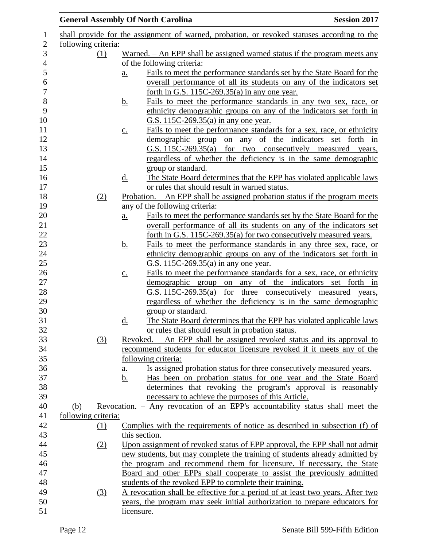|                     |     |                   | <b>General Assembly Of North Carolina</b>                                                                                                                   | <b>Session 2017</b> |
|---------------------|-----|-------------------|-------------------------------------------------------------------------------------------------------------------------------------------------------------|---------------------|
|                     |     |                   | shall provide for the assignment of warned, probation, or revoked statuses according to the                                                                 |                     |
| following criteria: |     |                   |                                                                                                                                                             |                     |
|                     | (1) |                   | Warned. $-$ An EPP shall be assigned warned status if the program meets any                                                                                 |                     |
|                     |     |                   | of the following criteria:                                                                                                                                  |                     |
|                     |     | $\underline{a}$ . | Fails to meet the performance standards set by the State Board for the                                                                                      |                     |
|                     |     |                   | overall performance of all its students on any of the indicators set                                                                                        |                     |
|                     |     |                   | forth in G.S. $115C-269.35(a)$ in any one year.                                                                                                             |                     |
|                     |     | <u>b.</u>         | Fails to meet the performance standards in any two sex, race, or                                                                                            |                     |
|                     |     |                   | ethnicity demographic groups on any of the indicators set forth in<br>G.S. 115C-269.35(a) in any one year.                                                  |                     |
|                     |     | $\underline{C}$ . | Fails to meet the performance standards for a sex, race, or ethnicity                                                                                       |                     |
|                     |     |                   | demographic group on any of the indicators set forth in                                                                                                     |                     |
|                     |     |                   | G.S. 115C-269.35(a) for two consecutively measured years,                                                                                                   |                     |
|                     |     |                   | regardless of whether the deficiency is in the same demographic                                                                                             |                     |
|                     |     |                   | group or standard.                                                                                                                                          |                     |
|                     |     | <u>d.</u>         | The State Board determines that the EPP has violated applicable laws                                                                                        |                     |
|                     |     |                   | or rules that should result in warned status.                                                                                                               |                     |
|                     | (2) |                   | Probation. - An EPP shall be assigned probation status if the program meets                                                                                 |                     |
|                     |     |                   | any of the following criteria:                                                                                                                              |                     |
|                     |     | a.                | Fails to meet the performance standards set by the State Board for the                                                                                      |                     |
|                     |     |                   | overall performance of all its students on any of the indicators set                                                                                        |                     |
|                     |     |                   | forth in G.S. 115C-269.35(a) for two consecutively measured years.                                                                                          |                     |
|                     |     | <u>b.</u>         | Fails to meet the performance standards in any three sex, race, or                                                                                          |                     |
|                     |     |                   | ethnicity demographic groups on any of the indicators set forth in                                                                                          |                     |
|                     |     |                   | G.S. 115C-269.35(a) in any one year.                                                                                                                        |                     |
|                     |     | $\underline{c}$ . | Fails to meet the performance standards for a sex, race, or ethnicity                                                                                       |                     |
|                     |     |                   | demographic group on any of the indicators set forth in                                                                                                     |                     |
|                     |     |                   | G.S. 115C-269.35(a) for three consecutively measured years,                                                                                                 |                     |
|                     |     |                   | regardless of whether the deficiency is in the same demographic                                                                                             |                     |
|                     |     |                   | group or standard.                                                                                                                                          |                     |
|                     |     | d.                | The State Board determines that the EPP has violated applicable laws                                                                                        |                     |
|                     |     |                   | or rules that should result in probation status.                                                                                                            |                     |
|                     | (3) |                   | Revoked. – An EPP shall be assigned revoked status and its approval to                                                                                      |                     |
|                     |     |                   | recommend students for educator licensure revoked if it meets any of the                                                                                    |                     |
|                     |     |                   | following criteria:                                                                                                                                         |                     |
|                     |     | <u>a.</u>         | Is assigned probation status for three consecutively measured years.                                                                                        |                     |
|                     |     | b.                | Has been on probation status for one year and the State Board                                                                                               |                     |
|                     |     |                   | determines that revoking the program's approval is reasonably                                                                                               |                     |
|                     |     |                   | necessary to achieve the purposes of this Article.                                                                                                          |                     |
| (b)                 |     |                   | Revocation. - Any revocation of an EPP's accountability status shall meet the                                                                               |                     |
| following criteria: |     |                   |                                                                                                                                                             |                     |
|                     | (1) |                   | Complies with the requirements of notice as described in subsection (f) of                                                                                  |                     |
|                     |     |                   | this section.                                                                                                                                               |                     |
|                     | (2) |                   | Upon assignment of revoked status of EPP approval, the EPP shall not admit                                                                                  |                     |
|                     |     |                   | new students, but may complete the training of students already admitted by                                                                                 |                     |
|                     |     |                   | the program and recommend them for licensure. If necessary, the State                                                                                       |                     |
|                     |     |                   | Board and other EPPs shall cooperate to assist the previously admitted                                                                                      |                     |
|                     |     |                   | students of the revoked EPP to complete their training.                                                                                                     |                     |
|                     | (3) |                   | A revocation shall be effective for a period of at least two years. After two<br>years, the program may seek initial authorization to prepare educators for |                     |
|                     |     |                   | licensure.                                                                                                                                                  |                     |
|                     |     |                   |                                                                                                                                                             |                     |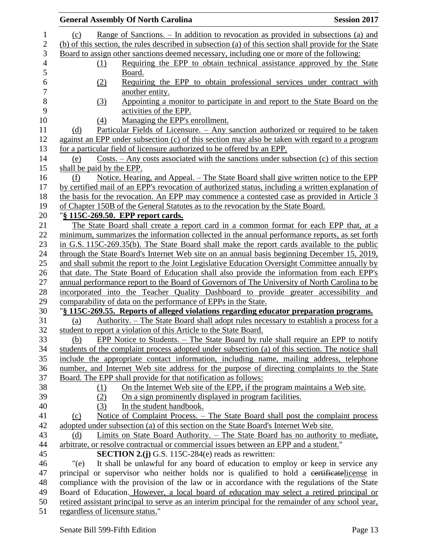|                | <b>General Assembly Of North Carolina</b><br><b>Session 2017</b>                                       |
|----------------|--------------------------------------------------------------------------------------------------------|
| $\mathbf{1}$   | Range of Sanctions. – In addition to revocation as provided in subsections (a) and<br>(c)              |
| $\mathbf{2}$   | (b) of this section, the rules described in subsection (a) of this section shall provide for the State |
| $\mathfrak{Z}$ | Board to assign other sanctions deemed necessary, including one or more of the following:              |
| 4              | Requiring the EPP to obtain technical assistance approved by the State<br>(1)                          |
| 5              | Board.                                                                                                 |
| 6              | Requiring the EPP to obtain professional services under contract with<br>(2)                           |
|                | another entity.                                                                                        |
|                | (3)<br>Appointing a monitor to participate in and report to the State Board on the                     |
|                | activities of the EPP.                                                                                 |
|                | Managing the EPP's enrollment.<br>(4)                                                                  |
|                | <u>Particular Fields of Licensure. – Any sanction authorized or required to be taken</u><br>(d)        |
|                | against an EPP under subsection (c) of this section may also be taken with regard to a program         |
|                | for a particular field of licensure authorized to be offered by an EPP.                                |
|                | Costs. $-$ Any costs associated with the sanctions under subsection (c) of this section<br>(e)         |
|                | shall be paid by the EPP.                                                                              |
|                | Notice, Hearing, and Appeal. – The State Board shall give written notice to the EPP<br>(f)             |
|                | by certified mail of an EPP's revocation of authorized status, including a written explanation of      |
|                | the basis for the revocation. An EPP may commence a contested case as provided in Article 3            |
|                | of Chapter 150B of the General Statutes as to the revocation by the State Board.                       |
|                | "§ 115C-269.50. EPP report cards.                                                                      |
|                | The State Board shall create a report card in a common format for each EPP that, at a                  |
|                | minimum, summarizes the information collected in the annual performance reports, as set forth          |
|                | in G.S. 115C-269.35(b). The State Board shall make the report cards available to the public            |
|                | through the State Board's Internet Web site on an annual basis beginning December 15, 2019,            |
|                | and shall submit the report to the Joint Legislative Education Oversight Committee annually by         |
|                | that date. The State Board of Education shall also provide the information from each EPP's             |
|                | annual performance report to the Board of Governors of The University of North Carolina to be          |
|                | incorporated into the Teacher Quality Dashboard to provide greater accessibility and                   |
|                | comparability of data on the performance of EPPs in the State.                                         |
|                | "§ 115C-269.55. Reports of alleged violations regarding educator preparation programs.                 |
|                | Authority. – The State Board shall adopt rules necessary to establish a process for a<br>(a)           |
|                | student to report a violation of this Article to the State Board.                                      |
|                | EPP Notice to Students. – The State Board by rule shall require an EPP to notify<br>(b)                |
|                | students of the complaint process adopted under subsection (a) of this section. The notice shall       |
|                | include the appropriate contact information, including name, mailing address, telephone                |
|                | number, and Internet Web site address for the purpose of directing complaints to the State             |
|                | Board. The EPP shall provide for that notification as follows:                                         |
|                | On the Internet Web site of the EPP, if the program maintains a Web site.<br>(1)                       |
|                | On a sign prominently displayed in program facilities.<br>(2)                                          |
|                | In the student handbook.<br>(3)                                                                        |
|                | Notice of Complaint Process. - The State Board shall post the complaint process<br>(c)                 |
|                | adopted under subsection (a) of this section on the State Board's Internet Web site.                   |
|                | <u>Limits on State Board Authority. – The State Board has no authority to mediate,</u><br>(d)          |
|                | arbitrate, or resolve contractual or commercial issues between an EPP and a student."                  |
|                | <b>SECTION 2.(j)</b> G.S. 115C-284(e) reads as rewritten:                                              |
|                | It shall be unlawful for any board of education to employ or keep in service any<br>"(e)               |
|                | principal or supervisor who neither holds nor is qualified to hold a certificate license in            |
|                | compliance with the provision of the law or in accordance with the regulations of the State            |
|                | Board of Education. However, a local board of education may select a retired principal or              |
|                | retired assistant principal to serve as an interim principal for the remainder of any school year,     |
|                | regardless of licensure status."                                                                       |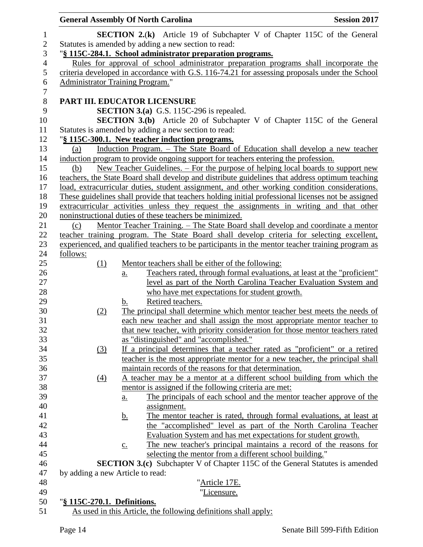|                | <b>General Assembly Of North Carolina</b> |                   |                                                                                                    | <b>Session 2017</b> |
|----------------|-------------------------------------------|-------------------|----------------------------------------------------------------------------------------------------|---------------------|
| 1              |                                           |                   | <b>SECTION 2.(k)</b> Article 19 of Subchapter V of Chapter 115C of the General                     |                     |
| $\sqrt{2}$     |                                           |                   | Statutes is amended by adding a new section to read:                                               |                     |
| 3              |                                           |                   | "§ 115C-284.1. School administrator preparation programs.                                          |                     |
| $\overline{4}$ |                                           |                   | Rules for approval of school administrator preparation programs shall incorporate the              |                     |
| 5              |                                           |                   | criteria developed in accordance with G.S. 116-74.21 for assessing proposals under the School      |                     |
| 6              | <b>Administrator Training Program."</b>   |                   |                                                                                                    |                     |
| $\overline{7}$ |                                           |                   |                                                                                                    |                     |
| $8\,$          | PART III. EDUCATOR LICENSURE              |                   |                                                                                                    |                     |
| 9              |                                           |                   | <b>SECTION 3.(a)</b> G.S. 115C-296 is repealed.                                                    |                     |
| 10             |                                           |                   | <b>SECTION 3.(b)</b> Article 20 of Subchapter V of Chapter 115C of the General                     |                     |
| 11             |                                           |                   | Statutes is amended by adding a new section to read:                                               |                     |
| 12             |                                           |                   | "§ 115C-300.1. New teacher induction programs.                                                     |                     |
| 13             | (a)                                       |                   | Induction Program. - The State Board of Education shall develop a new teacher                      |                     |
| 14             |                                           |                   | induction program to provide ongoing support for teachers entering the profession.                 |                     |
| 15             | (b)                                       |                   | New Teacher Guidelines. – For the purpose of helping local boards to support new                   |                     |
| 16             |                                           |                   | teachers, the State Board shall develop and distribute guidelines that address optimum teaching    |                     |
| 17             |                                           |                   | load, extracurricular duties, student assignment, and other working condition considerations.      |                     |
| 18             |                                           |                   | These guidelines shall provide that teachers holding initial professional licenses not be assigned |                     |
| 19             |                                           |                   | extracurricular activities unless they request the assignments in writing and that other           |                     |
| 20             |                                           |                   | noninstructional duties of these teachers be minimized.                                            |                     |
| 21             | (c)                                       |                   | <u> Mentor Teacher Training. – The State Board shall develop and coordinate a mentor</u>           |                     |
| 22             |                                           |                   | teacher training program. The State Board shall develop criteria for selecting excellent,          |                     |
| 23             |                                           |                   | experienced, and qualified teachers to be participants in the mentor teacher training program as   |                     |
| 24             | follows:                                  |                   |                                                                                                    |                     |
| 25             | (1)                                       |                   | Mentor teachers shall be either of the following:                                                  |                     |
| 26             |                                           | $\underline{a}$ . | Teachers rated, through formal evaluations, at least at the "proficient"                           |                     |
| 27             |                                           |                   | level as part of the North Carolina Teacher Evaluation System and                                  |                     |
| 28             |                                           |                   | who have met expectations for student growth.                                                      |                     |
| 29             |                                           | b.                | Retired teachers.                                                                                  |                     |
| 30             | (2)                                       |                   | The principal shall determine which mentor teacher best meets the needs of                         |                     |
| 31             |                                           |                   | each new teacher and shall assign the most appropriate mentor teacher to                           |                     |
| 32             |                                           |                   | that new teacher, with priority consideration for those mentor teachers rated                      |                     |
| 33             |                                           |                   | as "distinguished" and "accomplished."                                                             |                     |
| 34             | $\left(3\right)$                          |                   | If a principal determines that a teacher rated as "proficient" or a retired                        |                     |
| 35             |                                           |                   | teacher is the most appropriate mentor for a new teacher, the principal shall                      |                     |
| 36             |                                           |                   | maintain records of the reasons for that determination.                                            |                     |
| 37             | $\Delta$                                  |                   | A teacher may be a mentor at a different school building from which the                            |                     |
| 38             |                                           |                   | mentor is assigned if the following criteria are met:                                              |                     |
| 39             |                                           | $\underline{a}$ . | The principals of each school and the mentor teacher approve of the                                |                     |
| 40             |                                           |                   | assignment.                                                                                        |                     |
| 41             |                                           | <u>b.</u>         | The mentor teacher is rated, through formal evaluations, at least at                               |                     |
| 42             |                                           |                   | the "accomplished" level as part of the North Carolina Teacher                                     |                     |
| 43             |                                           |                   | Evaluation System and has met expectations for student growth.                                     |                     |
| 44             |                                           | $\underline{c}$ . | The new teacher's principal maintains a record of the reasons for                                  |                     |
| 45             |                                           |                   | selecting the mentor from a different school building."                                            |                     |
| 46             |                                           |                   | <b>SECTION 3.(c)</b> Subchapter V of Chapter 115C of the General Statutes is amended               |                     |
| 47             | by adding a new Article to read:          |                   |                                                                                                    |                     |
| 48             |                                           |                   | " <u>Article 17E.</u>                                                                              |                     |
| 49             |                                           |                   | "Licensure.                                                                                        |                     |
| 50             | "§ 115C-270.1. Definitions.               |                   |                                                                                                    |                     |
| 51             |                                           |                   | As used in this Article, the following definitions shall apply:                                    |                     |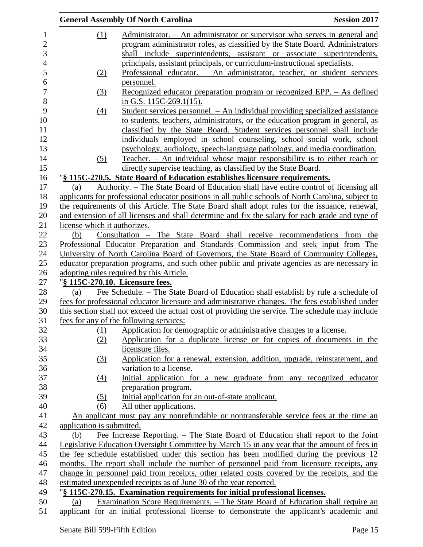|                              |                  | <b>General Assembly Of North Carolina</b>                                                          | <b>Session 2017</b> |
|------------------------------|------------------|----------------------------------------------------------------------------------------------------|---------------------|
|                              | (1)              | Administrator. - An administrator or supervisor who serves in general and                          |                     |
|                              |                  | program administrator roles, as classified by the State Board. Administrators                      |                     |
|                              |                  | shall include superintendents, assistant or associate superintendents,                             |                     |
|                              |                  | principals, assistant principals, or curriculum-instructional specialists.                         |                     |
|                              | (2)              | Professional educator. - An administrator, teacher, or student services                            |                     |
|                              |                  | <u>personnel.</u>                                                                                  |                     |
|                              | $\left(3\right)$ | <u>Recognized educator preparation program or recognized EPP. – As defined</u>                     |                     |
|                              |                  | in G.S. $115C-269.1(15)$ .                                                                         |                     |
|                              | (4)              | Student services personnel. - An individual providing specialized assistance                       |                     |
|                              |                  | to students, teachers, administrators, or the education program in general, as                     |                     |
|                              |                  | classified by the State Board. Student services personnel shall include                            |                     |
|                              |                  | individuals employed in school counseling, school social work, school                              |                     |
|                              |                  | psychology, audiology, speech-language pathology, and media coordination.                          |                     |
|                              | (5)              | Teacher. - An individual whose major responsibility is to either teach or                          |                     |
|                              |                  | directly supervise teaching, as classified by the State Board.                                     |                     |
|                              |                  | "§ 115C-270.5. State Board of Education establishes licensure requirements.                        |                     |
| (a)                          |                  | <u>Authority. – The State Board of Education shall have entire control of licensing all</u>        |                     |
|                              |                  | applicants for professional educator positions in all public schools of North Carolina, subject to |                     |
|                              |                  | the requirements of this Article. The State Board shall adopt rules for the issuance, renewal,     |                     |
|                              |                  | and extension of all licenses and shall determine and fix the salary for each grade and type of    |                     |
| license which it authorizes. |                  |                                                                                                    |                     |
| (b)                          |                  | Consultation - The State Board shall receive recommendations from the                              |                     |
|                              |                  | Professional Educator Preparation and Standards Commission and seek input from The                 |                     |
|                              |                  | University of North Carolina Board of Governors, the State Board of Community Colleges,            |                     |
|                              |                  | educator preparation programs, and such other public and private agencies as are necessary in      |                     |
|                              |                  | adopting rules required by this Article.                                                           |                     |
|                              |                  | "§ 115C-270.10. Licensure fees.                                                                    |                     |
| (a)                          |                  | Fee Schedule. – The State Board of Education shall establish by rule a schedule of                 |                     |
|                              |                  | fees for professional educator licensure and administrative changes. The fees established under    |                     |
|                              |                  | this section shall not exceed the actual cost of providing the service. The schedule may include   |                     |
|                              |                  | fees for any of the following services:                                                            |                     |
|                              | (1)              | Application for demographic or administrative changes to a license.                                |                     |
|                              | (2)              | Application for a duplicate license or for copies of documents in the                              |                     |
|                              |                  | licensure files.                                                                                   |                     |
|                              | (3)              | Application for a renewal, extension, addition, upgrade, reinstatement, and                        |                     |
|                              |                  | variation to a license.                                                                            |                     |
|                              | (4)              | Initial application for a new graduate from any recognized educator                                |                     |
|                              |                  | preparation program.                                                                               |                     |
|                              | (5)              | Initial application for an out-of-state applicant.                                                 |                     |
|                              | (6)              | All other applications.                                                                            |                     |
|                              |                  | An applicant must pay any nonrefundable or nontransferable service fees at the time an             |                     |
| application is submitted.    |                  |                                                                                                    |                     |
| (b)                          |                  | Fee Increase Reporting. – The State Board of Education shall report to the Joint                   |                     |
|                              |                  | Legislative Education Oversight Committee by March 15 in any year that the amount of fees in       |                     |
|                              |                  | the fee schedule established under this section has been modified during the previous 12           |                     |
|                              |                  | months. The report shall include the number of personnel paid from licensure receipts, any         |                     |
|                              |                  | change in personnel paid from receipts, other related costs covered by the receipts, and the       |                     |
|                              |                  | estimated unexpended receipts as of June 30 of the year reported.                                  |                     |
|                              |                  | "§ 115C-270.15. Examination requirements for initial professional licenses.                        |                     |
| (a)                          |                  | Examination Score Requirements. – The State Board of Education shall require an                    |                     |
|                              |                  | applicant for an initial professional license to demonstrate the applicant's academic and          |                     |
|                              |                  |                                                                                                    |                     |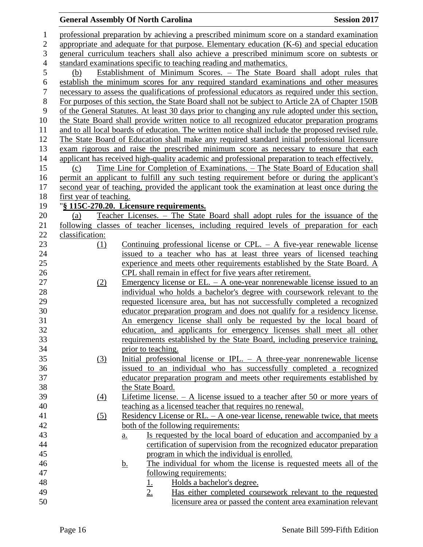| $\mathbf{1}$     |                         | professional preparation by achieving a prescribed minimum score on a standard examination        |
|------------------|-------------------------|---------------------------------------------------------------------------------------------------|
| $\boldsymbol{2}$ |                         | appropriate and adequate for that purpose. Elementary education $(K-6)$ and special education     |
| 3                |                         | general curriculum teachers shall also achieve a prescribed minimum score on subtests or          |
| $\overline{4}$   |                         | standard examinations specific to teaching reading and mathematics.                               |
| 5                | (b)                     | Establishment of Minimum Scores. - The State Board shall adopt rules that                         |
| 6                |                         | establish the minimum scores for any required standard examinations and other measures            |
| $\boldsymbol{7}$ |                         | necessary to assess the qualifications of professional educators as required under this section.  |
| 8                |                         | For purposes of this section, the State Board shall not be subject to Article 2A of Chapter 150B  |
| 9                |                         | of the General Statutes. At least 30 days prior to changing any rule adopted under this section,  |
| 10               |                         | the State Board shall provide written notice to all recognized educator preparation programs      |
| 11               |                         | and to all local boards of education. The written notice shall include the proposed revised rule. |
| 12               |                         | The State Board of Education shall make any required standard initial professional licensure      |
| 13               |                         | exam rigorous and raise the prescribed minimum score as necessary to ensure that each             |
| 14               |                         | applicant has received high-quality academic and professional preparation to teach effectively.   |
| 15               | (c)                     | <u>Time Line for Completion of Examinations. – The State Board of Education shall</u>             |
| 16               |                         | permit an applicant to fulfill any such testing requirement before or during the applicant's      |
| 17               |                         | second year of teaching, provided the applicant took the examination at least once during the     |
| 18               | first year of teaching. |                                                                                                   |
| 19               |                         | "§ 115C-270.20. Licensure requirements.                                                           |
| 20               | (a)                     | Teacher Licenses. – The State Board shall adopt rules for the issuance of the                     |
| 21               |                         | following classes of teacher licenses, including required levels of preparation for each          |
| 22               | classification:         |                                                                                                   |
| 23               | (1)                     | Continuing professional license or CPL. $-$ A five-year renewable license                         |
| 24               |                         | issued to a teacher who has at least three years of licensed teaching                             |
| 25               |                         | experience and meets other requirements established by the State Board. A                         |
| 26               |                         | CPL shall remain in effect for five years after retirement.                                       |
| 27               | (2)                     | <u>Emergency</u> license or EL. $-$ A one-year nonrenewable license issued to an                  |
| 28               |                         | individual who holds a bachelor's degree with coursework relevant to the                          |
| 29               |                         | requested licensure area, but has not successfully completed a recognized                         |
| 30               |                         | educator preparation program and does not qualify for a residency license.                        |
| 31               |                         | An emergency license shall only be requested by the local board of                                |
| 32               |                         |                                                                                                   |
|                  |                         | education, and applicants for emergency licenses shall meet all other                             |
| 33               |                         | requirements established by the State Board, including preservice training,                       |
| 34               |                         | prior to teaching.                                                                                |
| 35               | $\Omega$                | Initial professional license or IPL. $-$ A three-year nonrenewable license                        |
| 36               |                         | issued to an individual who has successfully completed a recognized                               |
| 37               |                         | educator preparation program and meets other requirements established by                          |
| 38               |                         | the State Board.                                                                                  |
| 39               | $\left(4\right)$        | <u>Lifetime license. <math>- A</math> license issued to a teacher after 50 or more years of</u>   |
| 40               |                         | teaching as a licensed teacher that requires no renewal.                                          |
| 41               | (5)                     | Residency License or RL. $-$ A one-year license, renewable twice, that meets                      |
| 42               |                         | both of the following requirements:                                                               |
| 43               |                         | Is requested by the local board of education and accompanied by a<br>a.                           |
| 44               |                         | certification of supervision from the recognized educator preparation                             |
| 45               |                         | program in which the individual is enrolled.                                                      |
| 46               |                         | The individual for whom the license is requested meets all of the<br><u>b.</u>                    |
| 47               |                         | following requirements:                                                                           |
| 48               |                         | Holds a bachelor's degree.<br><u>1.</u>                                                           |
| 49               |                         | Has either completed coursework relevant to the requested<br>$2_{\cdot}$                          |
| 50               |                         | licensure area or passed the content area examination relevant                                    |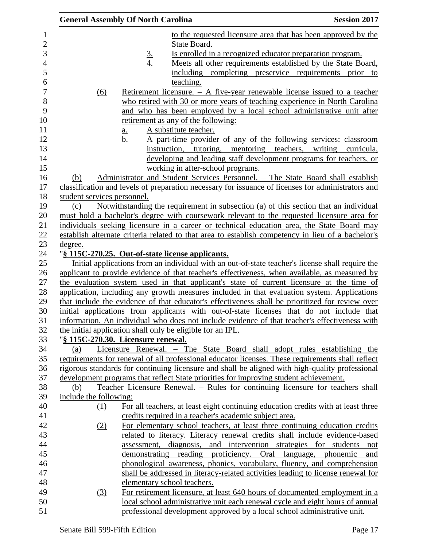| <b>General Assembly Of North Carolina</b> |                   |                                                                                       | <b>Session 2017</b>                                                                                |
|-------------------------------------------|-------------------|---------------------------------------------------------------------------------------|----------------------------------------------------------------------------------------------------|
|                                           |                   |                                                                                       | to the requested licensure area that has been approved by the                                      |
|                                           |                   | State Board.                                                                          |                                                                                                    |
|                                           |                   |                                                                                       | Is enrolled in a recognized educator preparation program.                                          |
|                                           | $rac{3}{4}$       |                                                                                       | Meets all other requirements established by the State Board,                                       |
|                                           |                   | including completing preservice requirements                                          | prior<br>to                                                                                        |
|                                           |                   | teaching.                                                                             |                                                                                                    |
| (6)                                       |                   |                                                                                       | Retirement licensure. $- A$ five-year renewable license issued to a teacher                        |
|                                           |                   |                                                                                       | who retired with 30 or more years of teaching experience in North Carolina                         |
|                                           |                   |                                                                                       | and who has been employed by a local school administrative unit after                              |
|                                           |                   | retirement as any of the following:                                                   |                                                                                                    |
|                                           | $\underline{a}$ . | A substitute teacher.                                                                 |                                                                                                    |
|                                           | b.                |                                                                                       | A part-time provider of any of the following services: classroom                                   |
|                                           |                   | instruction, tutoring, mentoring                                                      | teachers,<br>writing<br>curricula,                                                                 |
|                                           |                   |                                                                                       | developing and leading staff development programs for teachers, or                                 |
|                                           |                   | working in after-school programs.                                                     |                                                                                                    |
| (b)                                       |                   |                                                                                       | Administrator and Student Services Personnel. - The State Board shall establish                    |
|                                           |                   |                                                                                       | classification and levels of preparation necessary for issuance of licenses for administrators and |
| student services personnel.               |                   |                                                                                       |                                                                                                    |
| (c)                                       |                   |                                                                                       | Notwithstanding the requirement in subsection (a) of this section that an individual               |
|                                           |                   |                                                                                       | must hold a bachelor's degree with coursework relevant to the requested licensure area for         |
|                                           |                   |                                                                                       | individuals seeking licensure in a career or technical education area, the State Board may         |
|                                           |                   |                                                                                       | establish alternate criteria related to that area to establish competency in lieu of a bachelor's  |
| <u>degree.</u>                            |                   |                                                                                       |                                                                                                    |
|                                           |                   | "§ 115C-270.25. Out-of-state license applicants.                                      |                                                                                                    |
|                                           |                   |                                                                                       | Initial applications from an individual with an out-of-state teacher's license shall require the   |
|                                           |                   |                                                                                       | applicant to provide evidence of that teacher's effectiveness, when available, as measured by      |
|                                           |                   |                                                                                       | the evaluation system used in that applicant's state of current licensure at the time of           |
|                                           |                   |                                                                                       | application, including any growth measures included in that evaluation system. Applications        |
|                                           |                   |                                                                                       | that include the evidence of that educator's effectiveness shall be prioritized for review over    |
|                                           |                   |                                                                                       | initial applications from applicants with out-of-state licenses that do not include that           |
|                                           |                   |                                                                                       | information. An individual who does not include evidence of that teacher's effectiveness with      |
|                                           |                   | the initial application shall only be eligible for an IPL.                            |                                                                                                    |
| "§ 115C-270.30. Licensure renewal.        |                   |                                                                                       |                                                                                                    |
| (a)                                       |                   |                                                                                       | Licensure Renewal. - The State Board shall adopt rules establishing the                            |
|                                           |                   |                                                                                       | requirements for renewal of all professional educator licenses. These requirements shall reflect   |
|                                           |                   |                                                                                       | rigorous standards for continuing licensure and shall be aligned with high-quality professional    |
|                                           |                   | development programs that reflect State priorities for improving student achievement. |                                                                                                    |
| (b)                                       |                   |                                                                                       | Teacher Licensure Renewal. – Rules for continuing licensure for teachers shall                     |
| include the following:                    |                   |                                                                                       |                                                                                                    |
| $\Omega$                                  |                   |                                                                                       | For all teachers, at least eight continuing education credits with at least three                  |
|                                           |                   | credits required in a teacher's academic subject area.                                |                                                                                                    |
| (2)                                       |                   |                                                                                       | For elementary school teachers, at least three continuing education credits                        |
|                                           |                   |                                                                                       | related to literacy. Literacy renewal credits shall include evidence-based                         |
|                                           |                   |                                                                                       | assessment, diagnosis, and intervention strategies for students not                                |
|                                           |                   | demonstrating reading proficiency. Oral language, phonemic                            | and                                                                                                |
|                                           |                   |                                                                                       | phonological awareness, phonics, vocabulary, fluency, and comprehension                            |
|                                           |                   |                                                                                       | shall be addressed in literacy-related activities leading to license renewal for                   |
|                                           |                   | elementary school teachers.                                                           |                                                                                                    |
| (3)                                       |                   |                                                                                       | For retirement licensure, at least 640 hours of documented employment in a                         |
|                                           |                   |                                                                                       | local school administrative unit each renewal cycle and eight hours of annual                      |
|                                           |                   |                                                                                       | professional development approved by a local school administrative unit.                           |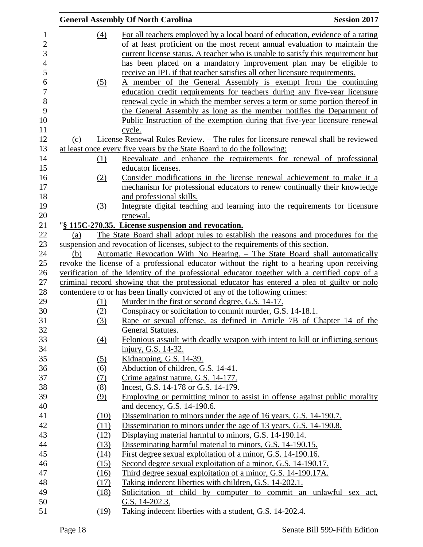|     |                   | <b>General Assembly Of North Carolina</b>                                                                                           | <b>Session 2017</b> |
|-----|-------------------|-------------------------------------------------------------------------------------------------------------------------------------|---------------------|
|     | (4)               | For all teachers employed by a local board of education, evidence of a rating                                                       |                     |
|     |                   | of at least proficient on the most recent annual evaluation to maintain the                                                         |                     |
|     |                   | current license status. A teacher who is unable to satisfy this requirement but                                                     |                     |
|     |                   | has been placed on a mandatory improvement plan may be eligible to                                                                  |                     |
|     |                   | receive an IPL if that teacher satisfies all other licensure requirements.                                                          |                     |
|     | (5)               | A member of the General Assembly is exempt from the continuing                                                                      |                     |
|     |                   | education credit requirements for teachers during any five-year licensure                                                           |                     |
|     |                   | renewal cycle in which the member serves a term or some portion thereof in                                                          |                     |
|     |                   | the General Assembly as long as the member notifies the Department of                                                               |                     |
|     |                   | Public Instruction of the exemption during that five-year licensure renewal                                                         |                     |
|     |                   | cycle.                                                                                                                              |                     |
| (c) |                   | License Renewal Rules Review. - The rules for licensure renewal shall be reviewed                                                   |                     |
|     |                   | at least once every five years by the State Board to do the following:                                                              |                     |
|     | (1)               | Reevaluate and enhance the requirements for renewal of professional                                                                 |                     |
|     |                   | educator licenses.                                                                                                                  |                     |
|     | (2)               | Consider modifications in the license renewal achievement to make it a                                                              |                     |
|     |                   | mechanism for professional educators to renew continually their knowledge                                                           |                     |
|     |                   | and professional skills.                                                                                                            |                     |
|     | (3)               | Integrate digital teaching and learning into the requirements for licensure                                                         |                     |
|     |                   | renewal.                                                                                                                            |                     |
|     |                   | "§ 115C-270.35. License suspension and revocation.                                                                                  |                     |
| (a) |                   | The State Board shall adopt rules to establish the reasons and procedures for the                                                   |                     |
|     |                   | suspension and revocation of licenses, subject to the requirements of this section.                                                 |                     |
| (b) |                   | Automatic Revocation With No Hearing. - The State Board shall automatically                                                         |                     |
|     |                   | revoke the license of a professional educator without the right to a hearing upon receiving                                         |                     |
|     |                   | verification of the identity of the professional educator together with a certified copy of a                                       |                     |
|     |                   | criminal record showing that the professional educator has entered a plea of guilty or nolo                                         |                     |
|     |                   | contendere to or has been finally convicted of any of the following crimes:                                                         |                     |
|     | (1)               | Murder in the first or second degree, G.S. 14-17.                                                                                   |                     |
|     | (2)               | Conspiracy or solicitation to commit murder, G.S. 14-18.1.<br>Rape or sexual offense, as defined in Article 7B of Chapter 14 of the |                     |
|     | (3)               |                                                                                                                                     |                     |
|     | $\underline{(4)}$ | General Statutes.<br>Felonious assault with deadly weapon with intent to kill or inflicting serious                                 |                     |
|     |                   | injury, G.S. 14-32.                                                                                                                 |                     |
|     | (5)               | Kidnapping, G.S. 14-39.                                                                                                             |                     |
|     | $\underline{(6)}$ | Abduction of children, G.S. 14-41.                                                                                                  |                     |
|     | (7)               | Crime against nature, G.S. 14-177.                                                                                                  |                     |
|     | (8)               | Incest, G.S. 14-178 or G.S. 14-179.                                                                                                 |                     |
|     | (9)               | Employing or permitting minor to assist in offense against public morality                                                          |                     |
|     |                   | and decency, G.S. 14-190.6.                                                                                                         |                     |
|     | (10)              | Dissemination to minors under the age of 16 years, G.S. 14-190.7.                                                                   |                     |
|     | (11)              | Dissemination to minors under the age of 13 years, G.S. 14-190.8.                                                                   |                     |
|     | (12)              | Displaying material harmful to minors, G.S. 14-190.14.                                                                              |                     |
|     | (13)              | Disseminating harmful material to minors, G.S. 14-190.15.                                                                           |                     |
|     | (14)              | First degree sexual exploitation of a minor, G.S. 14-190.16.                                                                        |                     |
|     | (15)              | Second degree sexual exploitation of a minor, G.S. 14-190.17.                                                                       |                     |
|     | (16)              | Third degree sexual exploitation of a minor, G.S. 14-190.17A.                                                                       |                     |
|     | (17)              | Taking indecent liberties with children, G.S. 14-202.1.                                                                             |                     |
|     | (18)              | Solicitation of child by computer to commit an unlawful sex act,                                                                    |                     |
|     |                   | G.S. 14-202.3.                                                                                                                      |                     |
|     | (19)              | Taking indecent liberties with a student, G.S. 14-202.4.                                                                            |                     |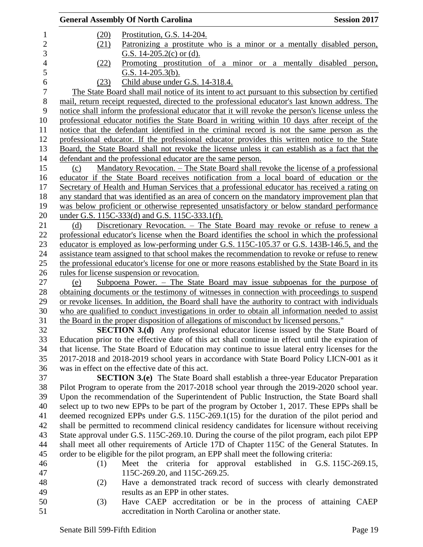|      | <b>General Assembly Of North Carolina</b>                                                                                                                                                | <b>Session 2017</b> |
|------|------------------------------------------------------------------------------------------------------------------------------------------------------------------------------------------|---------------------|
| (20) | Prostitution, G.S. 14-204.                                                                                                                                                               |                     |
| (21) | <u>Patronizing a prostitute who is a minor or a mentally disabled person,</u>                                                                                                            |                     |
|      | G.S. 14-205.2(c) or (d).                                                                                                                                                                 |                     |
| (22) | Promoting prostitution of a minor or a mentally disabled person,                                                                                                                         |                     |
|      | G.S. $14-205.3(b)$ .                                                                                                                                                                     |                     |
| (23) | Child abuse under G.S. 14-318.4.                                                                                                                                                         |                     |
|      | The State Board shall mail notice of its intent to act pursuant to this subsection by certified                                                                                          |                     |
|      | mail, return receipt requested, directed to the professional educator's last known address. The                                                                                          |                     |
|      | notice shall inform the professional educator that it will revoke the person's license unless the                                                                                        |                     |
|      | professional educator notifies the State Board in writing within 10 days after receipt of the                                                                                            |                     |
|      | notice that the defendant identified in the criminal record is not the same person as the                                                                                                |                     |
|      | professional educator. If the professional educator provides this written notice to the State                                                                                            |                     |
|      | Board, the State Board shall not revoke the license unless it can establish as a fact that the                                                                                           |                     |
|      | defendant and the professional educator are the same person.                                                                                                                             |                     |
| (c)  | Mandatory Revocation. – The State Board shall revoke the license of a professional                                                                                                       |                     |
|      | educator if the State Board receives notification from a local board of education or the                                                                                                 |                     |
|      | Secretary of Health and Human Services that a professional educator has received a rating on                                                                                             |                     |
|      | any standard that was identified as an area of concern on the mandatory improvement plan that                                                                                            |                     |
|      | was below proficient or otherwise represented unsatisfactory or below standard performance<br>under G.S. 115C-333(d) and G.S. 115C-333.1(f).                                             |                     |
| (d)  | Discretionary Revocation. - The State Board may revoke or refuse to renew a                                                                                                              |                     |
|      | professional educator's license when the Board identifies the school in which the professional                                                                                           |                     |
|      | educator is employed as low-performing under G.S. 115C-105.37 or G.S. 143B-146.5, and the                                                                                                |                     |
|      | assistance team assigned to that school makes the recommendation to revoke or refuse to renew                                                                                            |                     |
|      | the professional educator's license for one or more reasons established by the State Board in its                                                                                        |                     |
|      | rules for license suspension or revocation.                                                                                                                                              |                     |
| (e)  | Subpoena Power. $-$ The State Board may issue subpoenas for the purpose of                                                                                                               |                     |
|      | obtaining documents or the testimony of witnesses in connection with proceedings to suspend                                                                                              |                     |
|      | or revoke licenses. In addition, the Board shall have the authority to contract with individuals                                                                                         |                     |
|      | who are qualified to conduct investigations in order to obtain all information needed to assist                                                                                          |                     |
|      | the Board in the proper disposition of allegations of misconduct by licensed persons."                                                                                                   |                     |
|      | <b>SECTION 3.(d)</b> Any professional educator license issued by the State Board of                                                                                                      |                     |
|      | Education prior to the effective date of this act shall continue in effect until the expiration of                                                                                       |                     |
|      | that license. The State Board of Education may continue to issue lateral entry licenses for the                                                                                          |                     |
|      | 2017-2018 and 2018-2019 school years in accordance with State Board Policy LICN-001 as it                                                                                                |                     |
|      | was in effect on the effective date of this act.                                                                                                                                         |                     |
|      | <b>SECTION 3.(e)</b> The State Board shall establish a three-year Educator Preparation                                                                                                   |                     |
|      | Pilot Program to operate from the 2017-2018 school year through the 2019-2020 school year.                                                                                               |                     |
|      | Upon the recommendation of the Superintendent of Public Instruction, the State Board shall                                                                                               |                     |
|      | select up to two new EPPs to be part of the program by October 1, 2017. These EPPs shall be<br>deemed recognized EPPs under G.S. 115C-269.1(15) for the duration of the pilot period and |                     |
|      | shall be permitted to recommend clinical residency candidates for licensure without receiving                                                                                            |                     |
|      | State approval under G.S. 115C-269.10. During the course of the pilot program, each pilot EPP                                                                                            |                     |
|      | shall meet all other requirements of Article 17D of Chapter 115C of the General Statutes. In                                                                                             |                     |
|      | order to be eligible for the pilot program, an EPP shall meet the following criteria:                                                                                                    |                     |
| (1)  | Meet the criteria for approval established in G.S. 115C-269.15,                                                                                                                          |                     |
|      | 115C-269.20, and 115C-269.25.                                                                                                                                                            |                     |
| (2)  | Have a demonstrated track record of success with clearly demonstrated                                                                                                                    |                     |
|      | results as an EPP in other states.                                                                                                                                                       |                     |
| (3)  | Have CAEP accreditation or be in the process of attaining CAEP                                                                                                                           |                     |
|      | accreditation in North Carolina or another state.                                                                                                                                        |                     |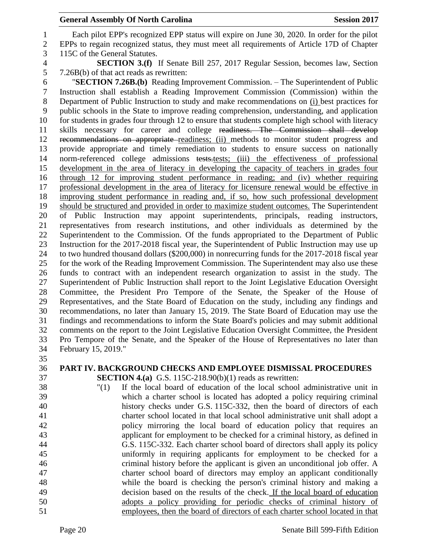Each pilot EPP's recognized EPP status will expire on June 30, 2020. In order for the pilot EPPs to regain recognized status, they must meet all requirements of Article 17D of Chapter 115C of the General Statutes.

 **SECTION 3.(f)** If Senate Bill 257, 2017 Regular Session, becomes law, Section 7.26B(b) of that act reads as rewritten:

 "**SECTION 7.26B.(b)** Reading Improvement Commission. – The Superintendent of Public Instruction shall establish a Reading Improvement Commission (Commission) within the Department of Public Instruction to study and make recommendations on (i) best practices for public schools in the State to improve reading comprehension, understanding, and application for students in grades four through 12 to ensure that students complete high school with literacy skills necessary for career and college readiness. The Commission shall develop recommendations on appropriate readiness; (ii) methods to monitor student progress and provide appropriate and timely remediation to students to ensure success on nationally 14 norm-referenced college admissions tests.tests; (iii) the effectiveness of professional development in the area of literacy in developing the capacity of teachers in grades four through 12 for improving student performance in reading; and (iv) whether requiring professional development in the area of literacy for licensure renewal would be effective in improving student performance in reading and, if so, how such professional development should be structured and provided in order to maximize student outcomes. The Superintendent of Public Instruction may appoint superintendents, principals, reading instructors, representatives from research institutions, and other individuals as determined by the Superintendent to the Commission. Of the funds appropriated to the Department of Public Instruction for the 2017-2018 fiscal year, the Superintendent of Public Instruction may use up to two hundred thousand dollars (\$200,000) in nonrecurring funds for the 2017-2018 fiscal year for the work of the Reading Improvement Commission. The Superintendent may also use these funds to contract with an independent research organization to assist in the study. The Superintendent of Public Instruction shall report to the Joint Legislative Education Oversight Committee, the President Pro Tempore of the Senate, the Speaker of the House of Representatives, and the State Board of Education on the study, including any findings and recommendations, no later than January 15, 2019. The State Board of Education may use the findings and recommendations to inform the State Board's policies and may submit additional comments on the report to the Joint Legislative Education Oversight Committee, the President Pro Tempore of the Senate, and the Speaker of the House of Representatives no later than February 15, 2019."

- 
- 

#### **PART IV. BACKGROUND CHECKS AND EMPLOYEE DISMISSAL PROCEDURES SECTION 4.(a)** G.S. 115C-218.90(b)(1) reads as rewritten:

 "(1) If the local board of education of the local school administrative unit in which a charter school is located has adopted a policy requiring criminal history checks under G.S. 115C-332, then the board of directors of each charter school located in that local school administrative unit shall adopt a policy mirroring the local board of education policy that requires an applicant for employment to be checked for a criminal history, as defined in G.S. 115C-332. Each charter school board of directors shall apply its policy uniformly in requiring applicants for employment to be checked for a criminal history before the applicant is given an unconditional job offer. A charter school board of directors may employ an applicant conditionally while the board is checking the person's criminal history and making a decision based on the results of the check. If the local board of education adopts a policy providing for periodic checks of criminal history of employees, then the board of directors of each charter school located in that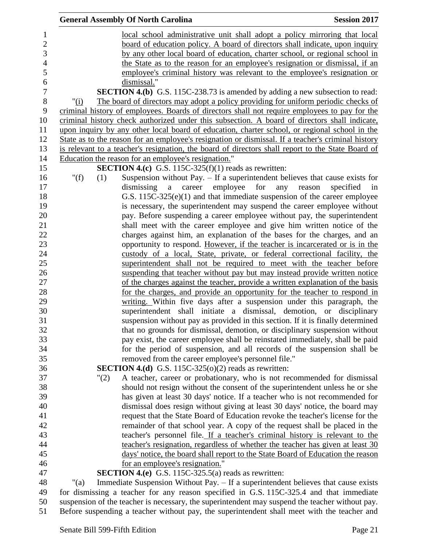|                | <b>General Assembly Of North Carolina</b>                                                                                                      | <b>Session 2017</b>           |
|----------------|------------------------------------------------------------------------------------------------------------------------------------------------|-------------------------------|
|                | <u>local school administrative unit shall adopt a policy mirroring that local</u>                                                              |                               |
|                | board of education policy. A board of directors shall indicate, upon inquiry                                                                   |                               |
|                | by any other local board of education, charter school, or regional school in                                                                   |                               |
|                | the State as to the reason for an employee's resignation or dismissal, if an                                                                   |                               |
|                | employee's criminal history was relevant to the employee's resignation or                                                                      |                               |
|                | dismissal."                                                                                                                                    |                               |
|                | <b>SECTION 4.(b)</b> G.S. 115C-238.73 is amended by adding a new subsection to read:                                                           |                               |
| " $(i)$        | The board of directors may adopt a policy providing for uniform periodic checks of                                                             |                               |
|                | criminal history of employees. Boards of directors shall not require employees to pay for the                                                  |                               |
|                | criminal history check authorized under this subsection. A board of directors shall indicate,                                                  |                               |
|                | upon inquiry by any other local board of education, charter school, or regional school in the                                                  |                               |
|                | State as to the reason for an employee's resignation or dismissal. If a teacher's criminal history                                             |                               |
|                | is relevant to a teacher's resignation, the board of directors shall report to the State Board of                                              |                               |
|                | Education the reason for an employee's resignation."                                                                                           |                               |
|                | <b>SECTION 4.(c)</b> G.S. 115C-325(f)(1) reads as rewritten:                                                                                   |                               |
| " $(f)$<br>(1) | Suspension without Pay. $-$ If a superintendent believes that cause exists for                                                                 |                               |
|                | employee for<br>career<br>dismissing a                                                                                                         | any reason<br>specified<br>in |
|                | G.S. 115C-325(e)(1) and that immediate suspension of the career employee                                                                       |                               |
|                | is necessary, the superintendent may suspend the career employee without                                                                       |                               |
|                | pay. Before suspending a career employee without pay, the superintendent                                                                       |                               |
|                | shall meet with the career employee and give him written notice of the                                                                         |                               |
|                | charges against him, an explanation of the bases for the charges, and an                                                                       |                               |
|                | opportunity to respond. However, if the teacher is incarcerated or is in the                                                                   |                               |
|                | custody of a local, State, private, or federal correctional facility, the                                                                      |                               |
|                | superintendent shall not be required to meet with the teacher before                                                                           |                               |
|                | suspending that teacher without pay but may instead provide written notice                                                                     |                               |
|                | of the charges against the teacher, provide a written explanation of the basis                                                                 |                               |
|                | for the charges, and provide an opportunity for the teacher to respond in                                                                      |                               |
|                | writing. Within five days after a suspension under this paragraph, the<br>superintendent shall initiate a dismissal, demotion, or disciplinary |                               |
|                | suspension without pay as provided in this section. If it is finally determined                                                                |                               |
|                | that no grounds for dismissal, demotion, or disciplinary suspension without                                                                    |                               |
|                | pay exist, the career employee shall be reinstated immediately, shall be paid                                                                  |                               |
|                | for the period of suspension, and all records of the suspension shall be                                                                       |                               |
|                | removed from the career employee's personnel file."                                                                                            |                               |
|                | <b>SECTION 4.(d)</b> G.S. 115C-325( $o(2)$ reads as rewritten:                                                                                 |                               |
| "(2)           | A teacher, career or probationary, who is not recommended for dismissal                                                                        |                               |
|                | should not resign without the consent of the superintendent unless he or she                                                                   |                               |
|                | has given at least 30 days' notice. If a teacher who is not recommended for                                                                    |                               |
|                | dismissal does resign without giving at least 30 days' notice, the board may                                                                   |                               |
|                | request that the State Board of Education revoke the teacher's license for the                                                                 |                               |
|                | remainder of that school year. A copy of the request shall be placed in the                                                                    |                               |
|                | teacher's personnel file. If a teacher's criminal history is relevant to the                                                                   |                               |
|                | teacher's resignation, regardless of whether the teacher has given at least 30                                                                 |                               |
|                | days' notice, the board shall report to the State Board of Education the reason                                                                |                               |
|                | for an employee's resignation."                                                                                                                |                               |
|                | <b>SECTION 4.(e)</b> G.S. 115C-325.5(a) reads as rewritten:                                                                                    |                               |
| " $(a)$        | Immediate Suspension Without Pay. – If a superintendent believes that cause exists                                                             |                               |
|                | for dismissing a teacher for any reason specified in G.S. 115C-325.4 and that immediate                                                        |                               |
|                | suspension of the teacher is necessary, the superintendent may suspend the teacher without pay.                                                |                               |

Before suspending a teacher without pay, the superintendent shall meet with the teacher and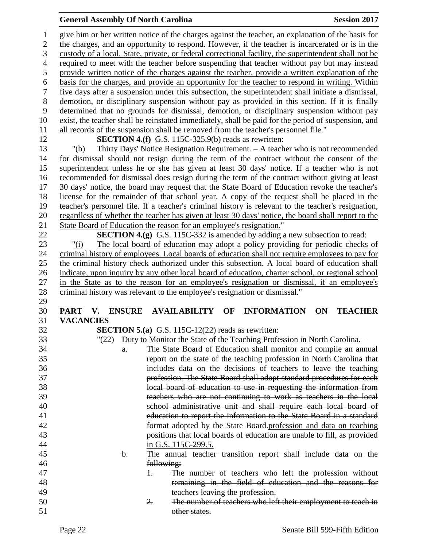| $\mathbf{1}$     |                  | give him or her written notice of the charges against the teacher, an explanation of the basis for                                       |
|------------------|------------------|------------------------------------------------------------------------------------------------------------------------------------------|
| $\overline{2}$   |                  | the charges, and an opportunity to respond. However, if the teacher is incarcerated or is in the                                         |
| $\overline{3}$   |                  | custody of a local, State, private, or federal correctional facility, the superintendent shall not be                                    |
| $\overline{4}$   |                  | required to meet with the teacher before suspending that teacher without pay but may instead                                             |
| 5                |                  | provide written notice of the charges against the teacher, provide a written explanation of the                                          |
| 6                |                  | basis for the charges, and provide an opportunity for the teacher to respond in writing. Within                                          |
| $\boldsymbol{7}$ |                  | five days after a suspension under this subsection, the superintendent shall initiate a dismissal,                                       |
| $8\,$            |                  | demotion, or disciplinary suspension without pay as provided in this section. If it is finally                                           |
| 9                |                  | determined that no grounds for dismissal, demotion, or disciplinary suspension without pay                                               |
| 10               |                  | exist, the teacher shall be reinstated immediately, shall be paid for the period of suspension, and                                      |
| 11               |                  | all records of the suspension shall be removed from the teacher's personnel file."                                                       |
| 12               |                  | <b>SECTION 4.(f)</b> G.S. 115C-325.9(b) reads as rewritten:                                                                              |
| 13               | " $(b)$          | Thirty Days' Notice Resignation Requirement. - A teacher who is not recommended                                                          |
| 14               |                  | for dismissal should not resign during the term of the contract without the consent of the                                               |
| 15               |                  | superintendent unless he or she has given at least 30 days' notice. If a teacher who is not                                              |
| 16               |                  |                                                                                                                                          |
|                  |                  | recommended for dismissal does resign during the term of the contract without giving at least                                            |
| 17               |                  | 30 days' notice, the board may request that the State Board of Education revoke the teacher's                                            |
| 18               |                  | license for the remainder of that school year. A copy of the request shall be placed in the                                              |
| 19               |                  | teacher's personnel file. If a teacher's criminal history is relevant to the teacher's resignation,                                      |
| 20               |                  | regardless of whether the teacher has given at least 30 days' notice, the board shall report to the                                      |
| 21               |                  | State Board of Education the reason for an employee's resignation."                                                                      |
| 22               |                  | <b>SECTION 4.(g)</b> G.S. 115C-332 is amended by adding a new subsection to read:                                                        |
| 23               | " $(i)$          | The local board of education may adopt a policy providing for periodic checks of                                                         |
| 24               |                  | criminal history of employees. Local boards of education shall not require employees to pay for                                          |
| 25               |                  | the criminal history check authorized under this subsection. A local board of education shall                                            |
| 26               |                  | indicate, upon inquiry by any other local board of education, charter school, or regional school                                         |
| 27               |                  | in the State as to the reason for an employee's resignation or dismissal, if an employee's                                               |
| 28               |                  | criminal history was relevant to the employee's resignation or dismissal."                                                               |
| 29               |                  |                                                                                                                                          |
| 30               | PART V. ENSURE   | <b>AVAILABILITY</b><br>OF<br><b>INFORMATION</b><br>ON<br><b>TEACHER</b>                                                                  |
| 31               | <b>VACANCIES</b> |                                                                                                                                          |
| 32               |                  | <b>SECTION 5.(a)</b> G.S. 115C-12(22) reads as rewritten:                                                                                |
| 33               | "(22)            | Duty to Monitor the State of the Teaching Profession in North Carolina. –                                                                |
| 34               | $\theta$ .       | The State Board of Education shall monitor and compile an annual                                                                         |
| 35               |                  | report on the state of the teaching profession in North Carolina that                                                                    |
| 36               |                  | includes data on the decisions of teachers to leave the teaching                                                                         |
| 37               |                  | profession. The State Board shall adopt standard procedures for each                                                                     |
| 38               |                  | local board of education to use in requesting the information from                                                                       |
| 39               |                  |                                                                                                                                          |
| 40               |                  | teachers who are not continuing to work as teachers in the local                                                                         |
|                  |                  |                                                                                                                                          |
| 41               |                  | school administrative unit and shall require each local board of<br>education to report the information to the State Board in a standard |
| 42               |                  |                                                                                                                                          |
| 43               |                  | format adopted by the State Board-profession and data on teaching                                                                        |
| 44               |                  | positions that local boards of education are unable to fill, as provided                                                                 |
| 45               | b.               | in G.S. 115C-299.5.<br>The annual teacher transition report shall include data on the                                                    |
| 46               |                  | following:                                                                                                                               |
| 47               |                  | The number of teachers who left the profession without<br>Ŧ.                                                                             |
| 48               |                  |                                                                                                                                          |
| 49               |                  | remaining in the field of education and the reasons for                                                                                  |
| 50               |                  | teachers leaving the profession.<br>The number of teachers who left their employment to teach in<br>2.                                   |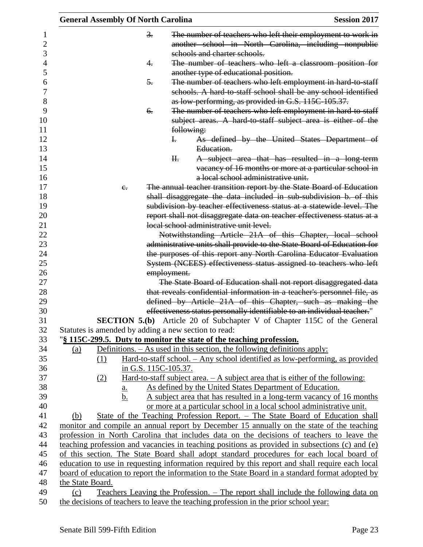| <b>General Assembly Of North Carolina</b>            |                      | <b>Session 2017</b>                                                                                                                                        |  |
|------------------------------------------------------|----------------------|------------------------------------------------------------------------------------------------------------------------------------------------------------|--|
|                                                      | $\frac{3}{2}$ .      | The number of teachers who left their employment to work in                                                                                                |  |
|                                                      |                      | another school in North Carolina, including nonpublic                                                                                                      |  |
|                                                      |                      | schools and charter schools.                                                                                                                               |  |
|                                                      | 4.                   | The number of teachers who left a classroom position for                                                                                                   |  |
|                                                      |                      | another type of educational position.                                                                                                                      |  |
|                                                      | 5.                   | The number of teachers who left employment in hard to staff                                                                                                |  |
|                                                      |                      | schools. A hard-to-staff school shall be any school identified                                                                                             |  |
|                                                      |                      | as low-performing, as provided in G.S. 115C-105.37.                                                                                                        |  |
|                                                      | 6.                   | The number of teachers who left employment in hard to staff<br>subject areas. A hard to staff subject area is either of the                                |  |
|                                                      |                      | following:                                                                                                                                                 |  |
|                                                      | Ŧ.                   | As defined by the United States Department of                                                                                                              |  |
|                                                      |                      | Education.                                                                                                                                                 |  |
|                                                      | H <sub>r</sub>       | A subject area that has resulted in a long-term                                                                                                            |  |
|                                                      |                      | vacancy of 16 months or more at a particular school in                                                                                                     |  |
|                                                      |                      | a local school administrative unit.                                                                                                                        |  |
| $e_{i}$                                              |                      | The annual teacher transition report by the State Board of Education                                                                                       |  |
|                                                      |                      | shall disaggregate the data included in sub-subdivision b. of this                                                                                         |  |
|                                                      |                      | subdivision by teacher effectiveness status at a statewide level. The                                                                                      |  |
|                                                      |                      | report shall not disaggregate data on teacher effectiveness status at a                                                                                    |  |
|                                                      |                      | local school administrative unit level.                                                                                                                    |  |
|                                                      |                      | Notwithstanding Article 21A of this Chapter, local school                                                                                                  |  |
|                                                      |                      | administrative units shall provide to the State Board of Education for                                                                                     |  |
|                                                      |                      | the purposes of this report any North Carolina Educator Evaluation                                                                                         |  |
|                                                      |                      | System (NCEES) effectiveness status assigned to teachers who left                                                                                          |  |
|                                                      | employment.          |                                                                                                                                                            |  |
|                                                      |                      | The State Board of Education shall not report disaggregated data                                                                                           |  |
|                                                      |                      | that reveals confidential information in a teacher's personnel file, as                                                                                    |  |
|                                                      |                      | defined by Article 21A of this Chapter, such as making the                                                                                                 |  |
|                                                      |                      | effectiveness status personally identifiable to an individual teacher."                                                                                    |  |
|                                                      |                      | SECTION 5.(b) Article 20 of Subchapter V of Chapter 115C of the General                                                                                    |  |
| Statutes is amended by adding a new section to read: |                      | "\\$ 115C-299.5. Duty to monitor the state of the teaching profession.                                                                                     |  |
|                                                      |                      |                                                                                                                                                            |  |
| (a)<br>(1)                                           |                      | Definitions. $-$ As used in this section, the following definitions apply:<br>Hard-to-staff school. - Any school identified as low-performing, as provided |  |
|                                                      | in G.S. 115C-105.37. |                                                                                                                                                            |  |
| (2)                                                  |                      | Hard-to-staff subject area. $- A$ subject area that is either of the following:                                                                            |  |
| $\underline{a}$ .                                    |                      | As defined by the United States Department of Education.                                                                                                   |  |
| b.                                                   |                      | A subject area that has resulted in a long-term vacancy of 16 months                                                                                       |  |
|                                                      |                      | or more at a particular school in a local school administrative unit.                                                                                      |  |
| (b)                                                  |                      | State of the Teaching Profession Report. – The State Board of Education shall                                                                              |  |
|                                                      |                      | monitor and compile an annual report by December 15 annually on the state of the teaching                                                                  |  |
|                                                      |                      | profession in North Carolina that includes data on the decisions of teachers to leave the                                                                  |  |
|                                                      |                      | teaching profession and vacancies in teaching positions as provided in subsections (c) and (e)                                                             |  |
|                                                      |                      | of this section. The State Board shall adopt standard procedures for each local board of                                                                   |  |
|                                                      |                      | education to use in requesting information required by this report and shall require each local                                                            |  |
|                                                      |                      | board of education to report the information to the State Board in a standard format adopted by                                                            |  |
| the State Board.                                     |                      |                                                                                                                                                            |  |
| (c)                                                  |                      | Teachers Leaving the Profession. – The report shall include the following data on                                                                          |  |
|                                                      |                      | the decisions of teachers to leave the teaching profession in the prior school year:                                                                       |  |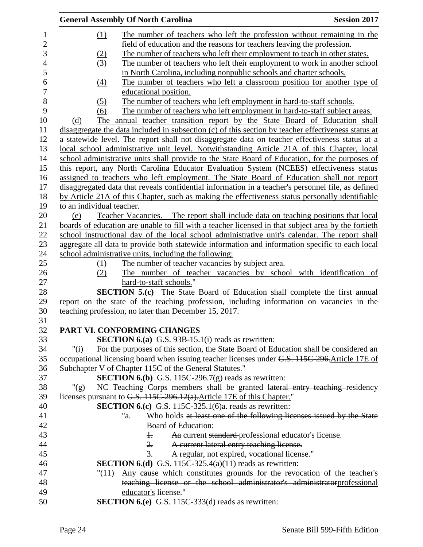|                           | <b>General Assembly Of North Carolina</b>                                                           | <b>Session 2017</b> |
|---------------------------|-----------------------------------------------------------------------------------------------------|---------------------|
| (1)                       | The number of teachers who left the profession without remaining in the                             |                     |
|                           | field of education and the reasons for teachers leaving the profession.                             |                     |
| (2)                       | The number of teachers who left their employment to teach in other states.                          |                     |
| (3)                       | The number of teachers who left their employment to work in another school                          |                     |
|                           | in North Carolina, including nonpublic schools and charter schools.                                 |                     |
| $\left(4\right)$          | The number of teachers who left a classroom position for another type of                            |                     |
|                           | educational position.                                                                               |                     |
| (5)                       | The number of teachers who left employment in hard-to-staff schools.                                |                     |
| (6)                       | The number of teachers who left employment in hard-to-staff subject areas.                          |                     |
| (d)                       | The annual teacher transition report by the State Board of Education shall                          |                     |
|                           | disaggregate the data included in subsection (c) of this section by teacher effectiveness status at |                     |
|                           | a statewide level. The report shall not disaggregate data on teacher effectiveness status at a      |                     |
|                           | local school administrative unit level. Notwithstanding Article 21A of this Chapter, local          |                     |
|                           | school administrative units shall provide to the State Board of Education, for the purposes of      |                     |
|                           | this report, any North Carolina Educator Evaluation System (NCEES) effectiveness status             |                     |
|                           | assigned to teachers who left employment. The State Board of Education shall not report             |                     |
|                           | disaggregated data that reveals confidential information in a teacher's personnel file, as defined  |                     |
|                           | by Article 21A of this Chapter, such as making the effectiveness status personally identifiable     |                     |
| to an individual teacher. |                                                                                                     |                     |
| (e)                       | Teacher Vacancies. – The report shall include data on teaching positions that local                 |                     |
|                           | boards of education are unable to fill with a teacher licensed in that subject area by the fortieth |                     |
|                           | school instructional day of the local school administrative unit's calendar. The report shall       |                     |
|                           |                                                                                                     |                     |
|                           | aggregate all data to provide both statewide information and information specific to each local     |                     |
|                           | school administrative units, including the following:                                               |                     |
| (1)                       | The number of teacher vacancies by subject area.                                                    |                     |
| (2)                       | The number of teacher vacancies by school with identification of                                    |                     |
|                           | hard-to-staff schools."                                                                             |                     |
|                           | <b>SECTION 5.(c)</b> The State Board of Education shall complete the first annual                   |                     |
|                           | report on the state of the teaching profession, including information on vacancies in the           |                     |
|                           | teaching profession, no later than December 15, 2017.                                               |                     |
|                           | PART VI. CONFORMING CHANGES                                                                         |                     |
|                           | <b>SECTION 6.(a)</b> G.S. 93B-15.1(i) reads as rewritten:                                           |                     |
| " $(i)$                   | For the purposes of this section, the State Board of Education shall be considered an               |                     |
|                           | occupational licensing board when issuing teacher licenses under G.S. 115C-296. Article 17E of      |                     |
|                           | Subchapter V of Chapter 115C of the General Statutes."                                              |                     |
|                           | <b>SECTION 6.(b)</b> G.S. 115C-296.7(g) reads as rewritten:                                         |                     |
| " $(g)$                   | NC Teaching Corps members shall be granted lateral entry teaching residency                         |                     |
|                           | licenses pursuant to G.S. 115C-296.12(a). Article 17E of this Chapter."                             |                     |
|                           | <b>SECTION 6.(c)</b> G.S. 115C-325.1(6)a. reads as rewritten:                                       |                     |
|                           | Who holds at least one of the following licenses issued by the State<br>"a.                         |                     |
|                           | <b>Board of Education:</b>                                                                          |                     |
|                           | Aa current standard professional educator's license.<br>$\ddagger$                                  |                     |
|                           | $\overline{2}$ .                                                                                    |                     |
|                           | A current lateral entry teaching license.<br>$\overline{3}$ .                                       |                     |
|                           | A regular, not expired, vocational license."                                                        |                     |
|                           | <b>SECTION 6.(d)</b> G.S. 115C-325.4(a)(11) reads as rewritten:                                     |                     |
| "(11)                     | Any cause which constitutes grounds for the revocation of the teacher's                             |                     |
|                           | teaching license or the school administrator's administratorprofessional                            |                     |
|                           | educator's license."                                                                                |                     |
|                           | <b>SECTION 6.(e)</b> G.S. 115C-333(d) reads as rewritten:                                           |                     |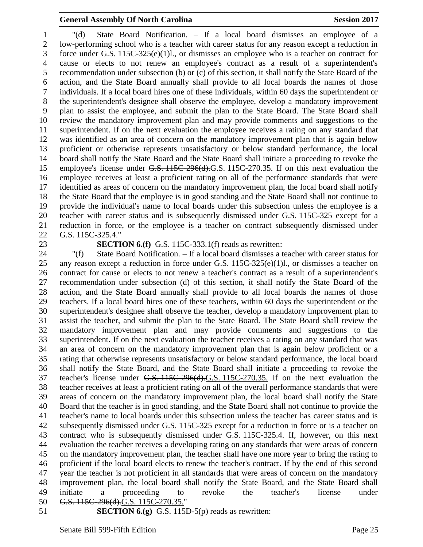"(d) State Board Notification. – If a local board dismisses an employee of a low-performing school who is a teacher with career status for any reason except a reduction in force under G.S. 115C-325(e)(1)l., or dismisses an employee who is a teacher on contract for cause or elects to not renew an employee's contract as a result of a superintendent's recommendation under subsection (b) or (c) of this section, it shall notify the State Board of the action, and the State Board annually shall provide to all local boards the names of those individuals. If a local board hires one of these individuals, within 60 days the superintendent or the superintendent's designee shall observe the employee, develop a mandatory improvement plan to assist the employee, and submit the plan to the State Board. The State Board shall review the mandatory improvement plan and may provide comments and suggestions to the superintendent. If on the next evaluation the employee receives a rating on any standard that was identified as an area of concern on the mandatory improvement plan that is again below proficient or otherwise represents unsatisfactory or below standard performance, the local board shall notify the State Board and the State Board shall initiate a proceeding to revoke the 15 employee's license under G.S. 115C-296(d).G.S. 115C-270.35. If on this next evaluation the employee receives at least a proficient rating on all of the performance standards that were identified as areas of concern on the mandatory improvement plan, the local board shall notify the State Board that the employee is in good standing and the State Board shall not continue to provide the individual's name to local boards under this subsection unless the employee is a teacher with career status and is subsequently dismissed under G.S. 115C-325 except for a reduction in force, or the employee is a teacher on contract subsequently dismissed under G.S. 115C-325.4."

#### **SECTION 6.(f)** G.S. 115C-333.1(f) reads as rewritten:

 "(f) State Board Notification. – If a local board dismisses a teacher with career status for any reason except a reduction in force under G.S. 115C-325(e)(1)l., or dismisses a teacher on contract for cause or elects to not renew a teacher's contract as a result of a superintendent's recommendation under subsection (d) of this section, it shall notify the State Board of the action, and the State Board annually shall provide to all local boards the names of those teachers. If a local board hires one of these teachers, within 60 days the superintendent or the superintendent's designee shall observe the teacher, develop a mandatory improvement plan to assist the teacher, and submit the plan to the State Board. The State Board shall review the mandatory improvement plan and may provide comments and suggestions to the superintendent. If on the next evaluation the teacher receives a rating on any standard that was an area of concern on the mandatory improvement plan that is again below proficient or a rating that otherwise represents unsatisfactory or below standard performance, the local board shall notify the State Board, and the State Board shall initiate a proceeding to revoke the teacher's license under G.S. 115C-296(d).G.S. 115C-270.35. If on the next evaluation the teacher receives at least a proficient rating on all of the overall performance standards that were areas of concern on the mandatory improvement plan, the local board shall notify the State Board that the teacher is in good standing, and the State Board shall not continue to provide the teacher's name to local boards under this subsection unless the teacher has career status and is subsequently dismissed under G.S. 115C-325 except for a reduction in force or is a teacher on contract who is subsequently dismissed under G.S. 115C-325.4. If, however, on this next evaluation the teacher receives a developing rating on any standards that were areas of concern on the mandatory improvement plan, the teacher shall have one more year to bring the rating to proficient if the local board elects to renew the teacher's contract. If by the end of this second year the teacher is not proficient in all standards that were areas of concern on the mandatory improvement plan, the local board shall notify the State Board, and the State Board shall initiate a proceeding to revoke the teacher's license under G.S. 115C-296(d).G.S. 115C-270.35." **SECTION 6.(g)** G.S. 115D-5(p) reads as rewritten: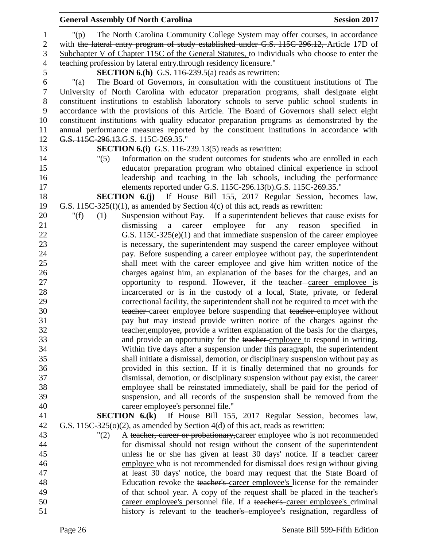|                  | <b>General Assembly Of North Carolina</b>                                                                                                                    | <b>Session 2017</b> |
|------------------|--------------------------------------------------------------------------------------------------------------------------------------------------------------|---------------------|
| $\mathbf{1}$     | The North Carolina Community College System may offer courses, in accordance<br>$"(\mathsf{p})$                                                              |                     |
| $\mathbf{2}$     | with the lateral entry program of study established under G.S. 115C-296.12, Article 17D of                                                                   |                     |
| 3                | Subchapter V of Chapter 115C of the General Statutes, to individuals who choose to enter the                                                                 |                     |
| $\overline{4}$   | teaching profession by lateral entry-through residency licensure."                                                                                           |                     |
| 5                | <b>SECTION 6.(h)</b> G.S. 116-239.5(a) reads as rewritten:                                                                                                   |                     |
| 6                | The Board of Governors, in consultation with the constituent institutions of The<br>" $(a)$                                                                  |                     |
| $\boldsymbol{7}$ | University of North Carolina with educator preparation programs, shall designate eight                                                                       |                     |
| $8\,$            | constituent institutions to establish laboratory schools to serve public school students in                                                                  |                     |
| 9                | accordance with the provisions of this Article. The Board of Governors shall select eight                                                                    |                     |
| 10               | constituent institutions with quality educator preparation programs as demonstrated by the                                                                   |                     |
| 11               | annual performance measures reported by the constituent institutions in accordance with                                                                      |                     |
| 12               | G.S. 115C-296.13.G.S. 115C-269.35."                                                                                                                          |                     |
| 13               | <b>SECTION 6.(i)</b> G.S. 116-239.13(5) reads as rewritten:                                                                                                  |                     |
| 14               | Information on the student outcomes for students who are enrolled in each<br>"(5)                                                                            |                     |
| 15               | educator preparation program who obtained clinical experience in school                                                                                      |                     |
| 16               | leadership and teaching in the lab schools, including the performance                                                                                        |                     |
| 17               | elements reported under G.S. 115C-296.13(b).G.S. 115C-269.35."                                                                                               |                     |
| 18               | <b>SECTION 6.(j)</b> If House Bill 155, 2017 Regular Session, becomes law,                                                                                   |                     |
| 19               | G.S. 115C-325(f)(1), as amended by Section $4(c)$ of this act, reads as rewritten:                                                                           |                     |
| 20               | Suspension without Pay. $-$ If a superintendent believes that cause exists for<br>" $(f)$<br>(1)                                                             |                     |
| 21               | dismissing a<br>career<br>employee for<br>specified<br>any reason                                                                                            | in                  |
| 22               | G.S. $115C-325(e)(1)$ and that immediate suspension of the career employee                                                                                   |                     |
| 23               | is necessary, the superintendent may suspend the career employee without                                                                                     |                     |
| 24               | pay. Before suspending a career employee without pay, the superintendent                                                                                     |                     |
| 25               | shall meet with the career employee and give him written notice of the                                                                                       |                     |
| 26               | charges against him, an explanation of the bases for the charges, and an                                                                                     |                     |
| 27               | opportunity to respond. However, if the teacher career employee is                                                                                           |                     |
| 28               | incarcerated or is in the custody of a local, State, private, or federal<br>correctional facility, the superintendent shall not be required to meet with the |                     |
| 29<br>30         | teacher career employee before suspending that teacher employee without                                                                                      |                     |
| 31               | pay but may instead provide written notice of the charges against the                                                                                        |                     |
| 32               | teacher, employee, provide a written explanation of the basis for the charges,                                                                               |                     |
| 33               | and provide an opportunity for the teacher employee to respond in writing.                                                                                   |                     |
| 34               | Within five days after a suspension under this paragraph, the superintendent                                                                                 |                     |
| 35               | shall initiate a dismissal, demotion, or disciplinary suspension without pay as                                                                              |                     |
| 36               | provided in this section. If it is finally determined that no grounds for                                                                                    |                     |
| 37               | dismissal, demotion, or disciplinary suspension without pay exist, the career                                                                                |                     |
| 38               | employee shall be reinstated immediately, shall be paid for the period of                                                                                    |                     |
| 39               | suspension, and all records of the suspension shall be removed from the                                                                                      |                     |
| 40               | career employee's personnel file."                                                                                                                           |                     |
| 41               | <b>SECTION 6.(k)</b> If House Bill 155, 2017 Regular Session, becomes law,                                                                                   |                     |
| 42               | G.S. 115C-325( $o(2)$ , as amended by Section 4(d) of this act, reads as rewritten:                                                                          |                     |
| 43               | A teacher, career or probationary, career employee who is not recommended<br>"(2)                                                                            |                     |
| 44               | for dismissal should not resign without the consent of the superintendent                                                                                    |                     |
| 45               | unless he or she has given at least 30 days' notice. If a teacher-career                                                                                     |                     |
| 46               | employee who is not recommended for dismissal does resign without giving                                                                                     |                     |
| 47               | at least 30 days' notice, the board may request that the State Board of                                                                                      |                     |
| 48               | Education revoke the teacher's career employee's license for the remainder                                                                                   |                     |
| 49               | of that school year. A copy of the request shall be placed in the teacher's                                                                                  |                     |
| 50               | career employee's personnel file. If a teacher's career employee's criminal                                                                                  |                     |
| 51               | history is relevant to the teacher's employee's resignation, regardless of                                                                                   |                     |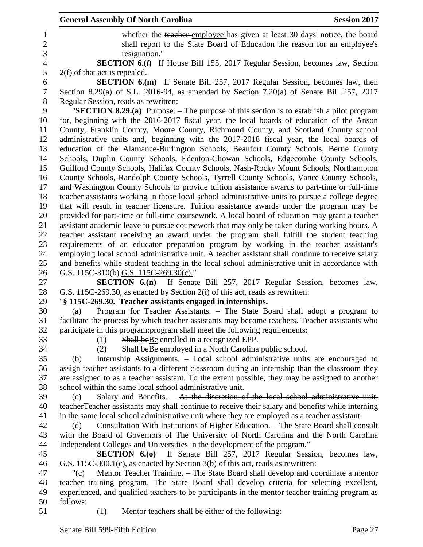|                  | <b>General Assembly Of North Carolina</b><br><b>Session 2017</b>                                                                                                                               |
|------------------|------------------------------------------------------------------------------------------------------------------------------------------------------------------------------------------------|
| 1                | whether the teacher employee has given at least 30 days' notice, the board                                                                                                                     |
| $\overline{2}$   | shall report to the State Board of Education the reason for an employee's                                                                                                                      |
| 3                | resignation."                                                                                                                                                                                  |
| $\overline{4}$   | <b>SECTION 6.(I)</b> If House Bill 155, 2017 Regular Session, becomes law, Section                                                                                                             |
| 5                | $2(f)$ of that act is repealed.                                                                                                                                                                |
| 6                | <b>SECTION 6.(m)</b> If Senate Bill 257, 2017 Regular Session, becomes law, then                                                                                                               |
| $\boldsymbol{7}$ | Section 8.29(a) of S.L. 2016-94, as amended by Section 7.20(a) of Senate Bill 257, 2017                                                                                                        |
| $8\,$            | Regular Session, reads as rewritten:                                                                                                                                                           |
| 9                | <b>"SECTION 8.29.(a)</b> Purpose. $-$ The purpose of this section is to establish a pilot program                                                                                              |
| 10               | for, beginning with the 2016-2017 fiscal year, the local boards of education of the Anson                                                                                                      |
| 11               | County, Franklin County, Moore County, Richmond County, and Scotland County school                                                                                                             |
| 12               | administrative units and, beginning with the 2017-2018 fiscal year, the local boards of                                                                                                        |
| 13               | education of the Alamance-Burlington Schools, Beaufort County Schools, Bertie County                                                                                                           |
| 14               | Schools, Duplin County Schools, Edenton-Chowan Schools, Edgecombe County Schools,                                                                                                              |
| 15               | Guilford County Schools, Halifax County Schools, Nash-Rocky Mount Schools, Northampton                                                                                                         |
| 16               | County Schools, Randolph County Schools, Tyrrell County Schools, Vance County Schools,                                                                                                         |
| 17               | and Washington County Schools to provide tuition assistance awards to part-time or full-time                                                                                                   |
| 18               | teacher assistants working in those local school administrative units to pursue a college degree                                                                                               |
| 19<br>20         | that will result in teacher licensure. Tuition assistance awards under the program may be                                                                                                      |
| 21               | provided for part-time or full-time coursework. A local board of education may grant a teacher<br>assistant academic leave to pursue coursework that may only be taken during working hours. A |
| 22               | teacher assistant receiving an award under the program shall fulfill the student teaching                                                                                                      |
| 23               | requirements of an educator preparation program by working in the teacher assistant's                                                                                                          |
| 24               | employing local school administrative unit. A teacher assistant shall continue to receive salary                                                                                               |
| 25               | and benefits while student teaching in the local school administrative unit in accordance with                                                                                                 |
| 26               | G.S. 115C-310(b).G.S. 115C-269.30(c)."                                                                                                                                                         |
| 27               | <b>SECTION 6.(n)</b> If Senate Bill 257, 2017 Regular Session, becomes law,                                                                                                                    |
| 28               | G.S. 115C-269.30, as enacted by Section 2(i) of this act, reads as rewritten:                                                                                                                  |
| 29               | "§ 115C-269.30. Teacher assistants engaged in internships.                                                                                                                                     |
| 30               | Program for Teacher Assistants. - The State Board shall adopt a program to<br>(a)                                                                                                              |
| 31               | facilitate the process by which teacher assistants may become teachers. Teacher assistants who                                                                                                 |
| 32               | participate in this program: program shall meet the following requirements:                                                                                                                    |
| 33               | Shall be Be enrolled in a recognized EPP.<br>(1)                                                                                                                                               |
| 34               | Shall be Be employed in a North Carolina public school.<br>(2)                                                                                                                                 |
| 35               | Internship Assignments. - Local school administrative units are encouraged to<br>(b)                                                                                                           |
| 36               | assign teacher assistants to a different classroom during an internship than the classroom they                                                                                                |
| 37               | are assigned to as a teacher assistant. To the extent possible, they may be assigned to another                                                                                                |
| 38               | school within the same local school administrative unit.                                                                                                                                       |
| 39               | Salary and Benefits. - At the discretion of the local school administrative unit,<br>(c)                                                                                                       |
| 40               | teacher Teacher assistants may shall continue to receive their salary and benefits while interning                                                                                             |
| 41               | in the same local school administrative unit where they are employed as a teacher assistant.                                                                                                   |
| 42               | Consultation With Institutions of Higher Education. - The State Board shall consult<br>(d)                                                                                                     |
| 43<br>44         | with the Board of Governors of The University of North Carolina and the North Carolina                                                                                                         |
| 45               | Independent Colleges and Universities in the development of the program."<br><b>SECTION 6.(0)</b> If Senate Bill 257, 2017 Regular Session, becomes law,                                       |
| 46               | G.S. 115C-300.1(c), as enacted by Section 3(b) of this act, reads as rewritten:                                                                                                                |
| 47               | Mentor Teacher Training. - The State Board shall develop and coordinate a mentor<br>"(c)                                                                                                       |
| 48               | teacher training program. The State Board shall develop criteria for selecting excellent,                                                                                                      |
| 49               | experienced, and qualified teachers to be participants in the mentor teacher training program as                                                                                               |
| 50               | follows:                                                                                                                                                                                       |
| 51               | Mentor teachers shall be either of the following:<br>(1)                                                                                                                                       |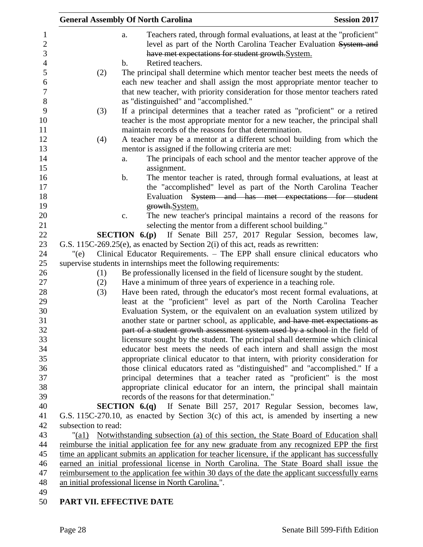|                     | <b>General Assembly Of North Carolina</b>                                                                                                                                                                                                     | <b>Session 2017</b> |
|---------------------|-----------------------------------------------------------------------------------------------------------------------------------------------------------------------------------------------------------------------------------------------|---------------------|
|                     | Teachers rated, through formal evaluations, at least at the "proficient"<br>a.<br>level as part of the North Carolina Teacher Evaluation System and<br>have met expectations for student growth.System.<br>Retired teachers.<br>$\mathbf b$ . |                     |
| (2)                 | The principal shall determine which mentor teacher best meets the needs of<br>each new teacher and shall assign the most appropriate mentor teacher to                                                                                        |                     |
|                     | that new teacher, with priority consideration for those mentor teachers rated<br>as "distinguished" and "accomplished."                                                                                                                       |                     |
| (3)                 | If a principal determines that a teacher rated as "proficient" or a retired<br>teacher is the most appropriate mentor for a new teacher, the principal shall<br>maintain records of the reasons for that determination.                       |                     |
| (4)                 | A teacher may be a mentor at a different school building from which the<br>mentor is assigned if the following criteria are met:                                                                                                              |                     |
|                     | The principals of each school and the mentor teacher approve of the<br>a.<br>assignment.                                                                                                                                                      |                     |
|                     | The mentor teacher is rated, through formal evaluations, at least at<br>b.<br>the "accomplished" level as part of the North Carolina Teacher                                                                                                  |                     |
|                     | Evaluation System and has met expectations for student                                                                                                                                                                                        |                     |
|                     | growth.System.<br>The new teacher's principal maintains a record of the reasons for<br>c.                                                                                                                                                     |                     |
|                     | selecting the mentor from a different school building."<br><b>SECTION 6.(p)</b> If Senate Bill 257, 2017 Regular Session, becomes law,                                                                                                        |                     |
|                     | G.S. 115C-269.25(e), as enacted by Section 2(i) of this act, reads as rewritten:                                                                                                                                                              |                     |
| "(e)                | Clinical Educator Requirements. - The EPP shall ensure clinical educators who                                                                                                                                                                 |                     |
|                     | supervise students in internships meet the following requirements:                                                                                                                                                                            |                     |
| (1)                 | Be professionally licensed in the field of licensure sought by the student.                                                                                                                                                                   |                     |
| (2)                 | Have a minimum of three years of experience in a teaching role.                                                                                                                                                                               |                     |
| (3)                 | Have been rated, through the educator's most recent formal evaluations, at                                                                                                                                                                    |                     |
|                     | least at the "proficient" level as part of the North Carolina Teacher                                                                                                                                                                         |                     |
|                     | Evaluation System, or the equivalent on an evaluation system utilized by                                                                                                                                                                      |                     |
|                     | another state or partner school, as applicable, and have met expectations as                                                                                                                                                                  |                     |
|                     | part of a student growth assessment system used by a school-in the field of                                                                                                                                                                   |                     |
|                     | licensure sought by the student. The principal shall determine which clinical                                                                                                                                                                 |                     |
|                     | educator best meets the needs of each intern and shall assign the most                                                                                                                                                                        |                     |
|                     | appropriate clinical educator to that intern, with priority consideration for                                                                                                                                                                 |                     |
|                     | those clinical educators rated as "distinguished" and "accomplished." If a                                                                                                                                                                    |                     |
|                     | principal determines that a teacher rated as "proficient" is the most                                                                                                                                                                         |                     |
|                     | appropriate clinical educator for an intern, the principal shall maintain                                                                                                                                                                     |                     |
|                     | records of the reasons for that determination."                                                                                                                                                                                               |                     |
|                     | <b>SECTION 6.(q)</b> If Senate Bill 257, 2017 Regular Session, becomes law,                                                                                                                                                                   |                     |
|                     | G.S. 115C-270.10, as enacted by Section $3(c)$ of this act, is amended by inserting a new                                                                                                                                                     |                     |
| subsection to read: |                                                                                                                                                                                                                                               |                     |
| "(a1)               | Notwithstanding subsection (a) of this section, the State Board of Education shall                                                                                                                                                            |                     |
|                     | reimburse the initial application fee for any new graduate from any recognized EPP the first                                                                                                                                                  |                     |
|                     | time an applicant submits an application for teacher licensure, if the applicant has successfully                                                                                                                                             |                     |
|                     | earned an initial professional license in North Carolina. The State Board shall issue the                                                                                                                                                     |                     |
|                     | reimbursement to the application fee within 30 days of the date the applicant successfully earns                                                                                                                                              |                     |
|                     | an initial professional license in North Carolina.".                                                                                                                                                                                          |                     |
|                     | PART VII. EFFECTIVE DATE                                                                                                                                                                                                                      |                     |
|                     |                                                                                                                                                                                                                                               |                     |